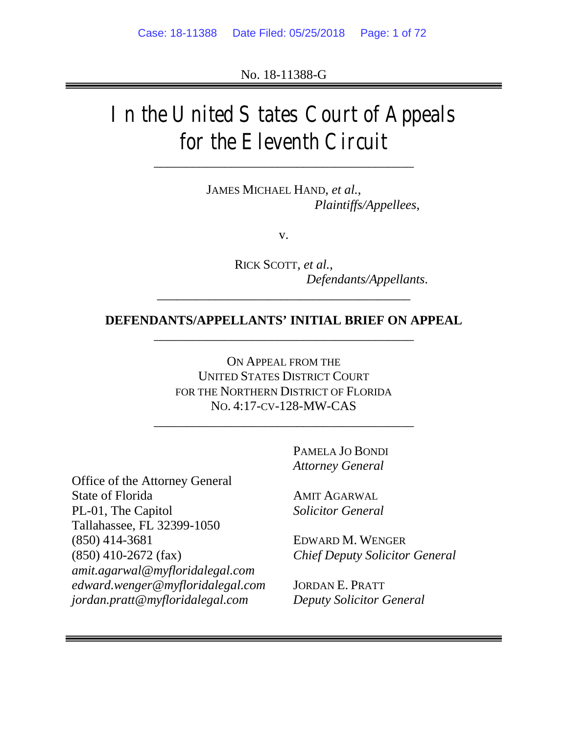No. 18-11388-G

# In the United States Court of Appeals for the Eleventh Circuit

\_\_\_\_\_\_\_\_\_\_\_\_\_\_\_\_\_\_\_\_\_\_\_\_\_\_\_\_\_\_\_\_\_\_\_\_\_\_\_\_

JAMES MICHAEL HAND, *et al.*, *Plaintiffs/Appellees*,

v.

RICK SCOTT, *et al.*, *Defendants/Appellants*.

# **DEFENDANTS/APPELLANTS' INITIAL BRIEF ON APPEAL** \_\_\_\_\_\_\_\_\_\_\_\_\_\_\_\_\_\_\_\_\_\_\_\_\_\_\_\_\_\_\_\_\_\_\_\_\_\_\_\_

*\_\_\_\_\_\_\_\_\_\_\_\_\_\_\_\_\_\_\_\_\_\_\_\_\_\_\_\_\_\_\_\_\_\_\_\_\_\_\_*

ON APPEAL FROM THE UNITED STATES DISTRICT COURT FOR THE NORTHERN DISTRICT OF FLORIDA NO. 4:17-CV-128-MW-CAS

\_\_\_\_\_\_\_\_\_\_\_\_\_\_\_\_\_\_\_\_\_\_\_\_\_\_\_\_\_\_\_\_\_\_\_\_\_\_\_\_

PAMELA JO BONDI *Attorney General*

Office of the Attorney General State of Florida PL-01, The Capitol Tallahassee, FL 32399-1050 (850) 414-3681 (850) 410-2672 (fax) *amit.agarwal@myfloridalegal.com edward.wenger@myfloridalegal.com jordan.pratt@myfloridalegal.com*

AMIT AGARWAL *Solicitor General*

EDWARD M. WENGER *Chief Deputy Solicitor General*

JORDAN E. PRATT *Deputy Solicitor General*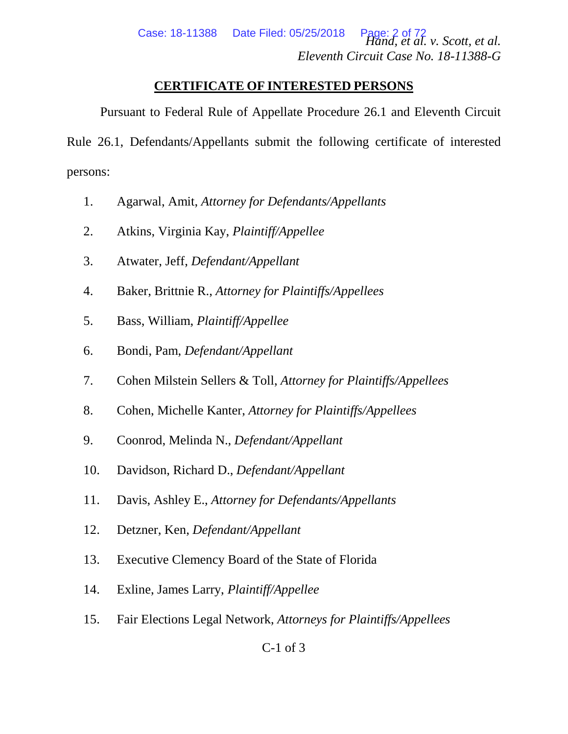# **CERTIFICATE OF INTERESTED PERSONS**

<span id="page-1-0"></span>Pursuant to Federal Rule of Appellate Procedure 26.1 and Eleventh Circuit Rule 26.1, Defendants/Appellants submit the following certificate of interested persons:

- 1. Agarwal, Amit, *Attorney for Defendants/Appellants*
- 2. Atkins, Virginia Kay, *Plaintiff/Appellee*
- 3. Atwater, Jeff, *Defendant/Appellant*
- 4. Baker, Brittnie R., *Attorney for Plaintiffs/Appellees*
- 5. Bass, William, *Plaintiff/Appellee*
- 6. Bondi, Pam, *Defendant/Appellant*
- 7. Cohen Milstein Sellers & Toll, *Attorney for Plaintiffs/Appellees*
- 8. Cohen, Michelle Kanter, *Attorney for Plaintiffs/Appellees*
- 9. Coonrod, Melinda N., *Defendant/Appellant*
- 10. Davidson, Richard D., *Defendant/Appellant*
- 11. Davis, Ashley E., *Attorney for Defendants/Appellants*
- 12. Detzner, Ken, *Defendant/Appellant*
- 13. Executive Clemency Board of the State of Florida
- 14. Exline, James Larry, *Plaintiff/Appellee*
- 15. Fair Elections Legal Network, *Attorneys for Plaintiffs/Appellees*

C-1 of 3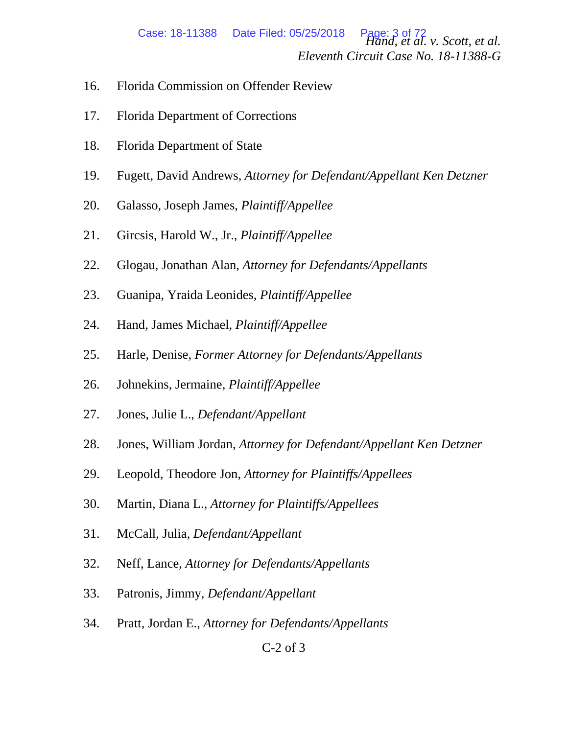*Hand, et al. v. Scott, et al. Eleventh Circuit Case No. 18-11388-G* Case: 18-11388 Date Filed: 05/25/2018

- 16. Florida Commission on Offender Review
- 17. Florida Department of Corrections
- 18. Florida Department of State
- 19. Fugett, David Andrews, *Attorney for Defendant/Appellant Ken Detzner*
- 20. Galasso, Joseph James, *Plaintiff/Appellee*
- 21. Gircsis, Harold W., Jr., *Plaintiff/Appellee*
- 22. Glogau, Jonathan Alan, *Attorney for Defendants/Appellants*
- 23. Guanipa, Yraida Leonides, *Plaintiff/Appellee*
- 24. Hand, James Michael, *Plaintiff/Appellee*
- 25. Harle, Denise, *Former Attorney for Defendants/Appellants*
- 26. Johnekins, Jermaine, *Plaintiff/Appellee*
- 27. Jones, Julie L., *Defendant/Appellant*
- 28. Jones, William Jordan, *Attorney for Defendant/Appellant Ken Detzner*
- 29. Leopold, Theodore Jon, *Attorney for Plaintiffs/Appellees*
- 30. Martin, Diana L., *Attorney for Plaintiffs/Appellees*
- 31. McCall, Julia, *Defendant/Appellant*
- 32. Neff, Lance, *Attorney for Defendants/Appellants*
- 33. Patronis, Jimmy, *Defendant/Appellant*
- 34. Pratt, Jordan E., *Attorney for Defendants/Appellants*

# C-2 of 3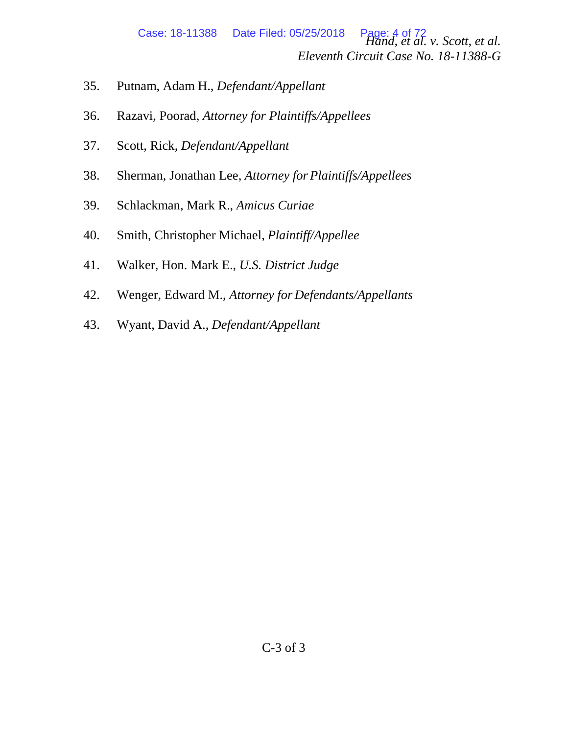*Hand, et al. v. Scott, et al. Eleventh Circuit Case No. 18-11388-G* Case: 18-11388 Date Filed: 05/25/2018

- 35. Putnam, Adam H., *Defendant/Appellant*
- 36. Razavi, Poorad, *Attorney for Plaintiffs/Appellees*
- 37. Scott, Rick, *Defendant/Appellant*
- 38. Sherman, Jonathan Lee, *Attorney for Plaintiffs/Appellees*
- 39. Schlackman, Mark R., *Amicus Curiae*
- 40. Smith, Christopher Michael, *Plaintiff/Appellee*
- 41. Walker, Hon. Mark E., *U.S. District Judge*
- 42. Wenger, Edward M., *Attorney for Defendants/Appellants*
- 43. Wyant, David A., *Defendant/Appellant*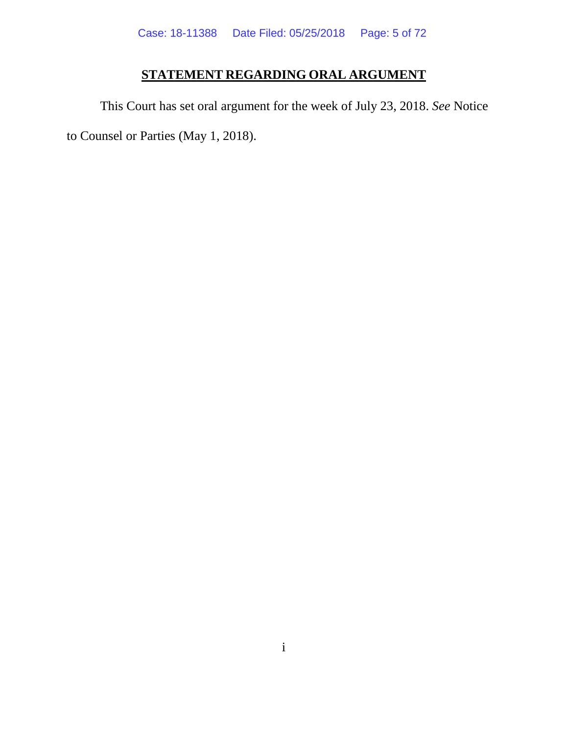# **STATEMENT REGARDING ORAL ARGUMENT**

<span id="page-4-0"></span>This Court has set oral argument for the week of July 23, 2018. *See* Notice to Counsel or Parties (May 1, 2018).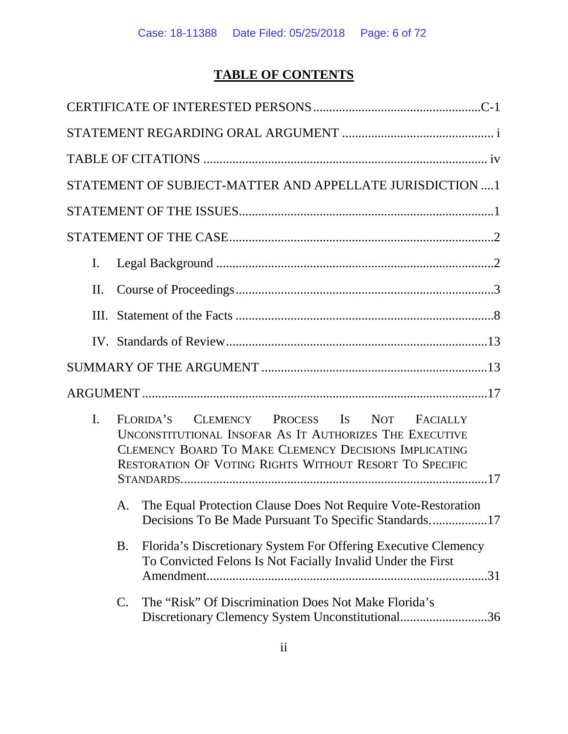# **TABLE OF CONTENTS**

|                | STATEMENT OF SUBJECT-MATTER AND APPELLATE JURISDICTION 1                                                                                                                                                                                |
|----------------|-----------------------------------------------------------------------------------------------------------------------------------------------------------------------------------------------------------------------------------------|
|                |                                                                                                                                                                                                                                         |
|                |                                                                                                                                                                                                                                         |
| $\mathbf{I}$ . |                                                                                                                                                                                                                                         |
| П.             |                                                                                                                                                                                                                                         |
| III.           |                                                                                                                                                                                                                                         |
|                |                                                                                                                                                                                                                                         |
|                |                                                                                                                                                                                                                                         |
|                |                                                                                                                                                                                                                                         |
| $\mathbf{I}$ . | FLORIDA'S CLEMENCY PROCESS IS NOT FACIALLY<br>UNCONSTITUTIONAL INSOFAR AS IT AUTHORIZES THE EXECUTIVE<br><b>CLEMENCY BOARD TO MAKE CLEMENCY DECISIONS IMPLICATING</b><br><b>RESTORATION OF VOTING RIGHTS WITHOUT RESORT TO SPECIFIC</b> |
| A.             | The Equal Protection Clause Does Not Require Vote-Restoration<br>Decisions To Be Made Pursuant To Specific Standards17                                                                                                                  |
| B.             | Florida's Discretionary System For Offering Executive Clemency<br>To Convicted Felons Is Not Facially Invalid Under the First                                                                                                           |
| $\mathsf{C}.$  | The "Risk" Of Discrimination Does Not Make Florida's<br>Discretionary Clemency System Unconstitutional36                                                                                                                                |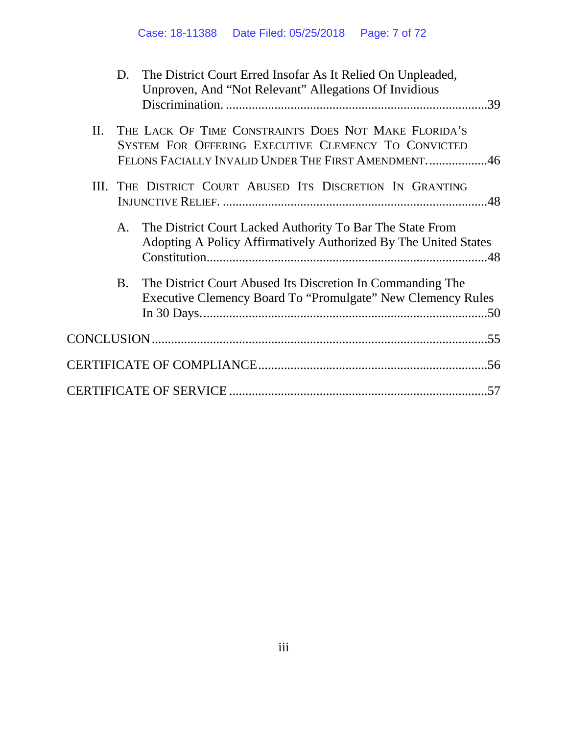|     |           | D. The District Court Erred Insofar As It Relied On Unpleaded,<br>Unproven, And "Not Relevant" Allegations Of Invidious                                            |
|-----|-----------|--------------------------------------------------------------------------------------------------------------------------------------------------------------------|
| II. |           | THE LACK OF TIME CONSTRAINTS DOES NOT MAKE FLORIDA'S<br>SYSTEM FOR OFFERING EXECUTIVE CLEMENCY TO CONVICTED<br>FELONS FACIALLY INVALID UNDER THE FIRST AMENDMENT46 |
|     |           | III. THE DISTRICT COURT ABUSED ITS DISCRETION IN GRANTING                                                                                                          |
|     | A.        | The District Court Lacked Authority To Bar The State From<br>Adopting A Policy Affirmatively Authorized By The United States                                       |
|     | <b>B.</b> | The District Court Abused Its Discretion In Commanding The<br>Executive Clemency Board To "Promulgate" New Clemency Rules                                          |
|     |           |                                                                                                                                                                    |
|     |           |                                                                                                                                                                    |
|     |           |                                                                                                                                                                    |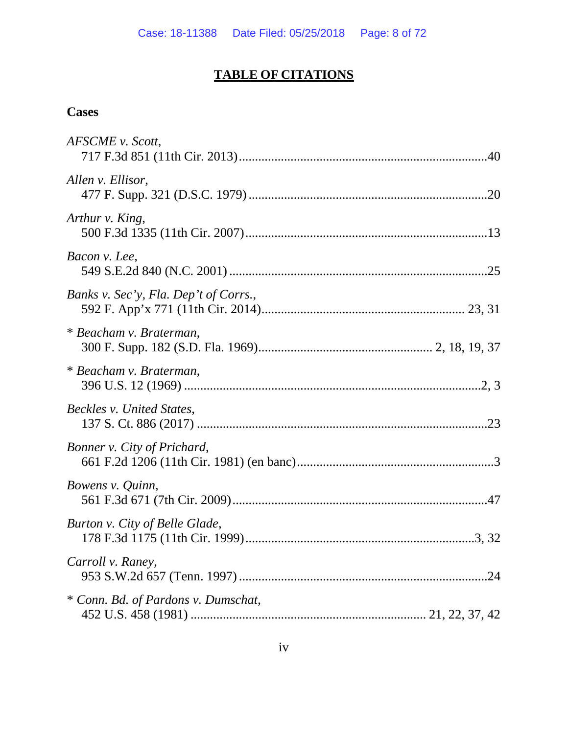# **TABLE OF CITATIONS**

# <span id="page-7-0"></span>**Cases**

| AFSCME v. Scott,                      |
|---------------------------------------|
| Allen v. Ellisor,                     |
| Arthur v. King,                       |
| Bacon v. Lee,                         |
| Banks v. Sec'y, Fla. Dep't of Corrs., |
| * Beacham v. Braterman,               |
| * Beacham v. Braterman,               |
| Beckles v. United States,             |
| Bonner v. City of Prichard,           |
| Bowens v. Quinn,                      |
| Burton v. City of Belle Glade,        |
| Carroll v. Raney,                     |
| * Conn. Bd. of Pardons v. Dumschat,   |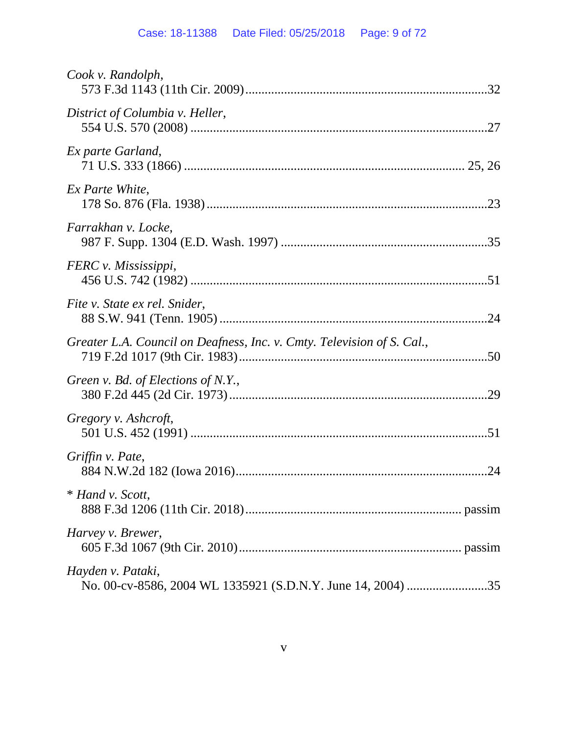| Cook v. Randolph,                                                                |  |
|----------------------------------------------------------------------------------|--|
| District of Columbia v. Heller,                                                  |  |
| Ex parte Garland,                                                                |  |
| Ex Parte White,                                                                  |  |
| Farrakhan v. Locke,                                                              |  |
| FERC v. Mississippi,                                                             |  |
| Fite v. State ex rel. Snider,                                                    |  |
| Greater L.A. Council on Deafness, Inc. v. Cmty. Television of S. Cal.,           |  |
| Green v. Bd. of Elections of N.Y.,                                               |  |
| Gregory v. Ashcroft,                                                             |  |
| Griffin v. Pate,                                                                 |  |
| * Hand v. Scott,                                                                 |  |
| Harvey v. Brewer,                                                                |  |
| Hayden v. Pataki,<br>No. 00-cv-8586, 2004 WL 1335921 (S.D.N.Y. June 14, 2004) 35 |  |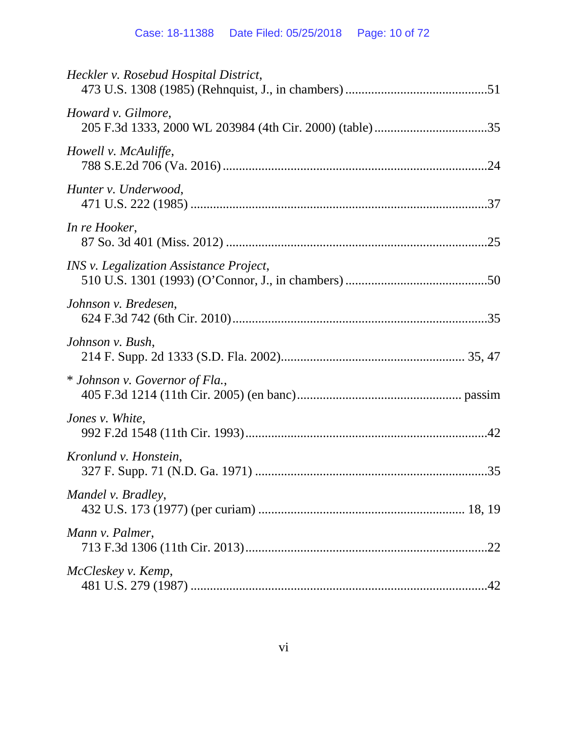| Heckler v. Rosebud Hospital District,   |
|-----------------------------------------|
| Howard v. Gilmore,                      |
| Howell v. McAuliffe,                    |
| Hunter v. Underwood,                    |
| In re Hooker,                           |
| INS v. Legalization Assistance Project, |
| Johnson v. Bredesen,                    |
| Johnson v. Bush,                        |
| * Johnson v. Governor of Fla.,          |
| Jones v. White,                         |
| Kronlund v. Honstein,                   |
| Mandel v. Bradley,                      |
| Mann v. Palmer,                         |
| McCleskey v. Kemp,                      |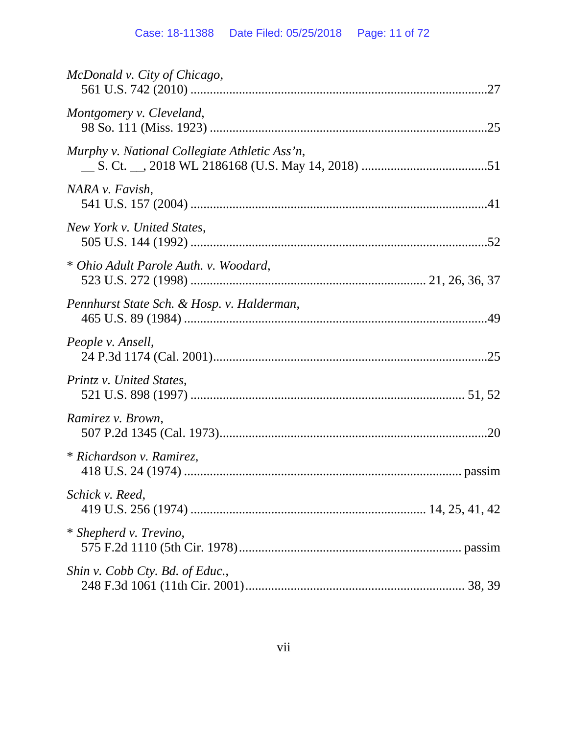| McDonald v. City of Chicago,                  |
|-----------------------------------------------|
| Montgomery v. Cleveland,                      |
| Murphy v. National Collegiate Athletic Ass'n, |
| NARA v. Favish,                               |
| New York v. United States,                    |
| * Ohio Adult Parole Auth. v. Woodard,         |
| Pennhurst State Sch. & Hosp. v. Halderman,    |
| People v. Ansell,                             |
| Printz v. United States,                      |
| Ramirez v. Brown,                             |
| * Richardson v. Ramirez,                      |
| Schick v. Reed,                               |
| * Shepherd v. Trevino,                        |
| Shin v. Cobb Cty. Bd. of Educ.,               |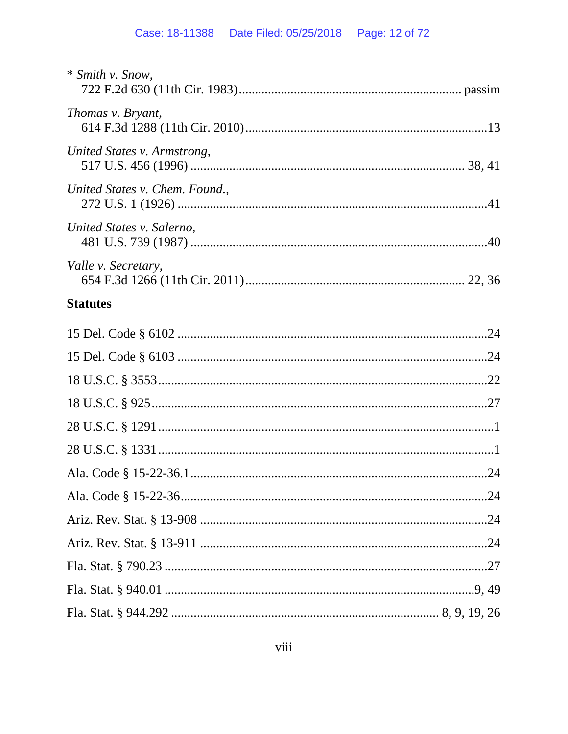| * Smith v. Snow,               |  |
|--------------------------------|--|
| Thomas v. Bryant,              |  |
| United States v. Armstrong,    |  |
| United States v. Chem. Found., |  |
| United States v. Salerno,      |  |
| Valle <i>v.</i> Secretary,     |  |
| <b>Statutes</b>                |  |
|                                |  |
|                                |  |
|                                |  |
|                                |  |
|                                |  |
|                                |  |
|                                |  |
|                                |  |
|                                |  |
|                                |  |
|                                |  |
|                                |  |
|                                |  |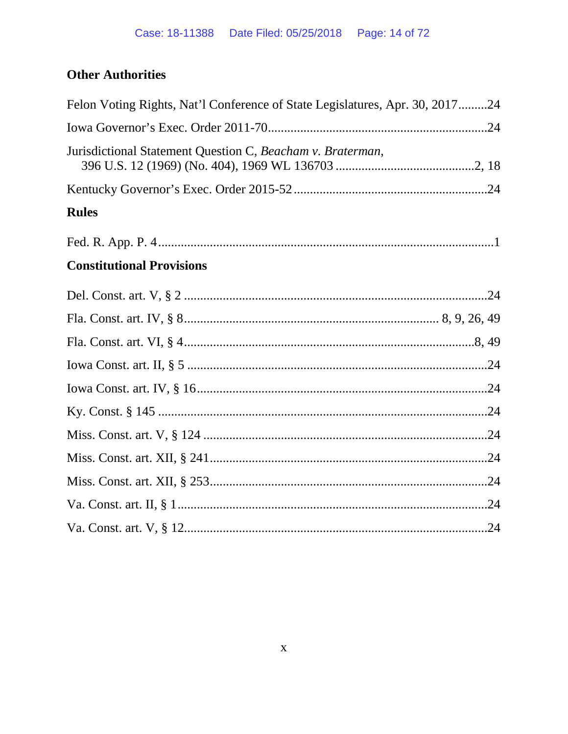# **Other Authorities**

| Felon Voting Rights, Nat'l Conference of State Legislatures, Apr. 30, 201724 |
|------------------------------------------------------------------------------|
|                                                                              |
| Jurisdictional Statement Question C, Beacham v. Braterman,                   |
|                                                                              |
| <b>Rules</b>                                                                 |
|                                                                              |
| <b>Constitutional Provisions</b>                                             |
|                                                                              |
|                                                                              |
|                                                                              |
|                                                                              |
|                                                                              |
|                                                                              |
|                                                                              |
|                                                                              |
|                                                                              |
|                                                                              |
|                                                                              |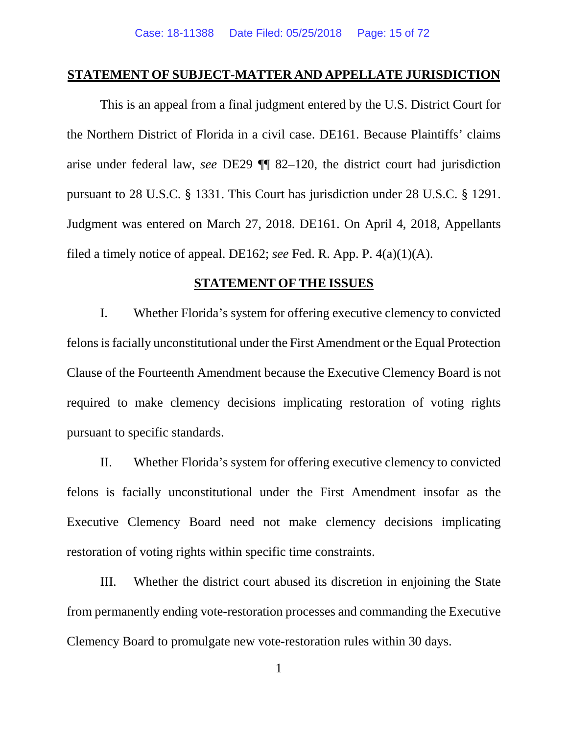### <span id="page-14-0"></span>**STATEMENT OF SUBJECT-MATTER AND APPELLATE JURISDICTION**

This is an appeal from a final judgment entered by the U.S. District Court for the Northern District of Florida in a civil case. DE161. Because Plaintiffs' claims arise under federal law, *see* DE29 ¶¶ 82–120, the district court had jurisdiction pursuant to 28 U.S.C. § 1331. This Court has jurisdiction under 28 U.S.C. § 1291. Judgment was entered on March 27, 2018. DE161. On April 4, 2018, Appellants filed a timely notice of appeal. DE162; *see* Fed. R. App. P. 4(a)(1)(A).

### **STATEMENT OF THE ISSUES**

<span id="page-14-1"></span>I. Whether Florida's system for offering executive clemency to convicted felons is facially unconstitutional under the First Amendment or the Equal Protection Clause of the Fourteenth Amendment because the Executive Clemency Board is not required to make clemency decisions implicating restoration of voting rights pursuant to specific standards.

II. Whether Florida's system for offering executive clemency to convicted felons is facially unconstitutional under the First Amendment insofar as the Executive Clemency Board need not make clemency decisions implicating restoration of voting rights within specific time constraints.

III. Whether the district court abused its discretion in enjoining the State from permanently ending vote-restoration processes and commanding the Executive Clemency Board to promulgate new vote-restoration rules within 30 days.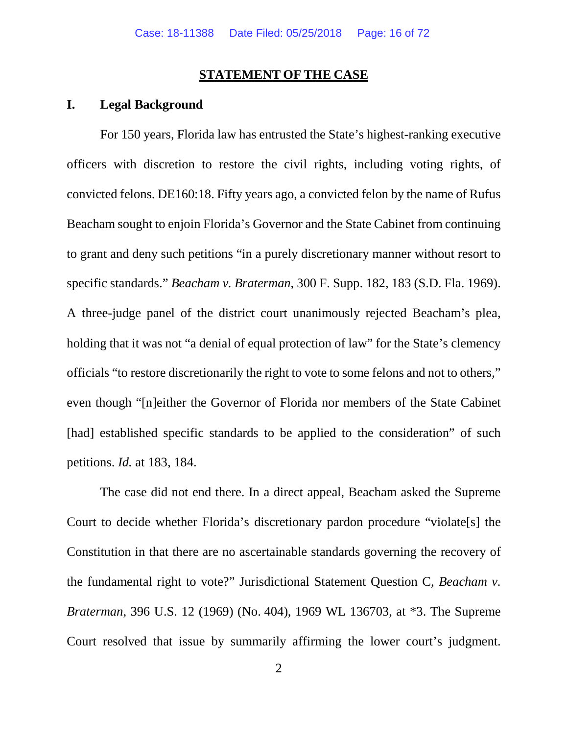### **STATEMENT OF THE CASE**

# <span id="page-15-1"></span><span id="page-15-0"></span>**I. Legal Background**

For 150 years, Florida law has entrusted the State's highest-ranking executive officers with discretion to restore the civil rights, including voting rights, of convicted felons. DE160:18. Fifty years ago, a convicted felon by the name of Rufus Beacham sought to enjoin Florida's Governor and the State Cabinet from continuing to grant and deny such petitions "in a purely discretionary manner without resort to specific standards." *Beacham v. Braterman*, 300 F. Supp. 182, 183 (S.D. Fla. 1969). A three-judge panel of the district court unanimously rejected Beacham's plea, holding that it was not "a denial of equal protection of law" for the State's clemency officials "to restore discretionarily the right to vote to some felons and not to others," even though "[n]either the Governor of Florida nor members of the State Cabinet [had] established specific standards to be applied to the consideration" of such petitions. *Id.* at 183, 184.

The case did not end there. In a direct appeal, Beacham asked the Supreme Court to decide whether Florida's discretionary pardon procedure "violate[s] the Constitution in that there are no ascertainable standards governing the recovery of the fundamental right to vote?" Jurisdictional Statement Question C, *Beacham v. Braterman*, 396 U.S. 12 (1969) (No. 404), 1969 WL 136703, at \*3. The Supreme Court resolved that issue by summarily affirming the lower court's judgment.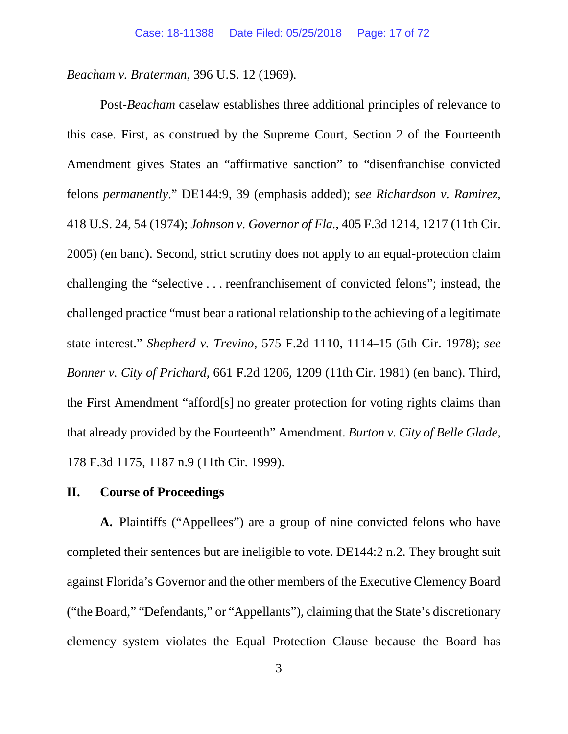*Beacham v. Braterman*, 396 U.S. 12 (1969).

Post-*Beacham* caselaw establishes three additional principles of relevance to this case. First, as construed by the Supreme Court, Section 2 of the Fourteenth Amendment gives States an "affirmative sanction" to "disenfranchise convicted felons *permanently*." DE144:9, 39 (emphasis added); *see Richardson v. Ramirez*, 418 U.S. 24, 54 (1974); *Johnson v. Governor of Fla.*, 405 F.3d 1214, 1217 (11th Cir. 2005) (en banc). Second, strict scrutiny does not apply to an equal-protection claim challenging the "selective . . . reenfranchisement of convicted felons"; instead, the challenged practice "must bear a rational relationship to the achieving of a legitimate state interest." *Shepherd v. Trevino*, 575 F.2d 1110, 1114–15 (5th Cir. 1978); *see Bonner v. City of Prichard*, 661 F.2d 1206, 1209 (11th Cir. 1981) (en banc). Third, the First Amendment "afford[s] no greater protection for voting rights claims than that already provided by the Fourteenth" Amendment. *Burton v. City of Belle Glade*, 178 F.3d 1175, 1187 n.9 (11th Cir. 1999).

### <span id="page-16-0"></span>**II. Course of Proceedings**

**A.** Plaintiffs ("Appellees") are a group of nine convicted felons who have completed their sentences but are ineligible to vote. DE144:2 n.2. They brought suit against Florida's Governor and the other members of the Executive Clemency Board ("the Board," "Defendants," or "Appellants"), claiming that the State's discretionary clemency system violates the Equal Protection Clause because the Board has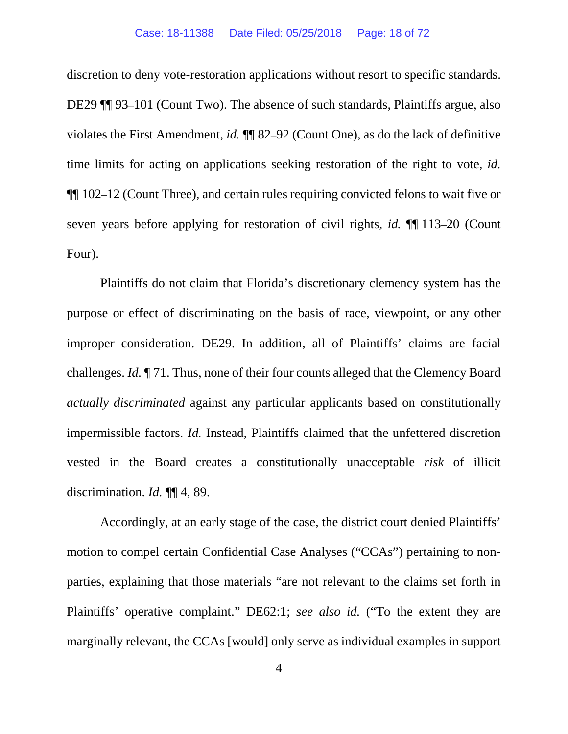discretion to deny vote-restoration applications without resort to specific standards. DE29 ¶¶ 93–101 (Count Two). The absence of such standards, Plaintiffs argue, also violates the First Amendment, *id.* ¶¶ 82–92 (Count One), as do the lack of definitive time limits for acting on applications seeking restoration of the right to vote, *id.*  ¶¶ 102–12 (Count Three), and certain rules requiring convicted felons to wait five or seven years before applying for restoration of civil rights, *id.* ¶¶ 113–20 (Count Four).

Plaintiffs do not claim that Florida's discretionary clemency system has the purpose or effect of discriminating on the basis of race, viewpoint, or any other improper consideration. DE29. In addition, all of Plaintiffs' claims are facial challenges. *Id.* ¶ 71. Thus, none of their four counts alleged that the Clemency Board *actually discriminated* against any particular applicants based on constitutionally impermissible factors. *Id.* Instead, Plaintiffs claimed that the unfettered discretion vested in the Board creates a constitutionally unacceptable *risk* of illicit discrimination. *Id.* ¶¶ 4, 89.

Accordingly, at an early stage of the case, the district court denied Plaintiffs' motion to compel certain Confidential Case Analyses ("CCAs") pertaining to nonparties, explaining that those materials "are not relevant to the claims set forth in Plaintiffs' operative complaint." DE62:1; *see also id.* ("To the extent they are marginally relevant, the CCAs [would] only serve as individual examples in support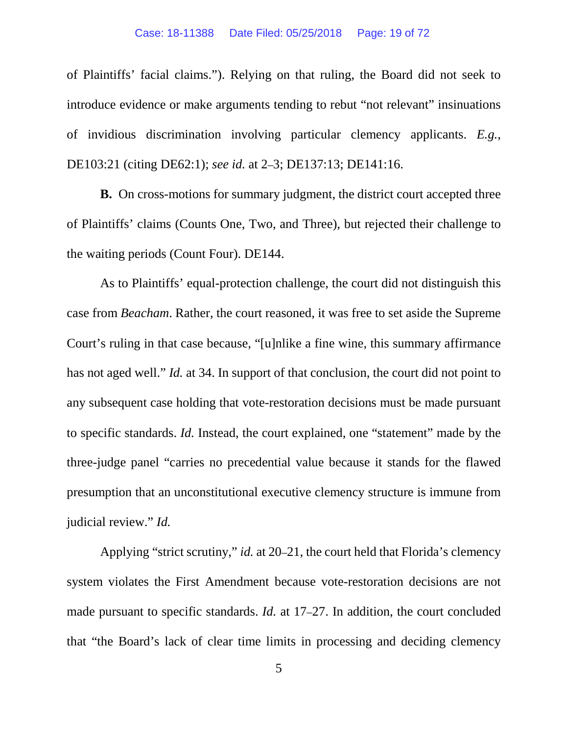of Plaintiffs' facial claims."). Relying on that ruling, the Board did not seek to introduce evidence or make arguments tending to rebut "not relevant" insinuations of invidious discrimination involving particular clemency applicants. *E.g.*, DE103:21 (citing DE62:1); *see id.* at 2–3; DE137:13; DE141:16.

**B.** On cross-motions for summary judgment, the district court accepted three of Plaintiffs' claims (Counts One, Two, and Three), but rejected their challenge to the waiting periods (Count Four). DE144.

As to Plaintiffs' equal-protection challenge, the court did not distinguish this case from *Beacham*. Rather, the court reasoned, it was free to set aside the Supreme Court's ruling in that case because, "[u]nlike a fine wine, this summary affirmance has not aged well." *Id.* at 34. In support of that conclusion, the court did not point to any subsequent case holding that vote-restoration decisions must be made pursuant to specific standards. *Id.* Instead, the court explained, one "statement" made by the three-judge panel "carries no precedential value because it stands for the flawed presumption that an unconstitutional executive clemency structure is immune from judicial review." *Id.*

Applying "strict scrutiny," *id.* at 20–21, the court held that Florida's clemency system violates the First Amendment because vote-restoration decisions are not made pursuant to specific standards. *Id.* at 17–27. In addition, the court concluded that "the Board's lack of clear time limits in processing and deciding clemency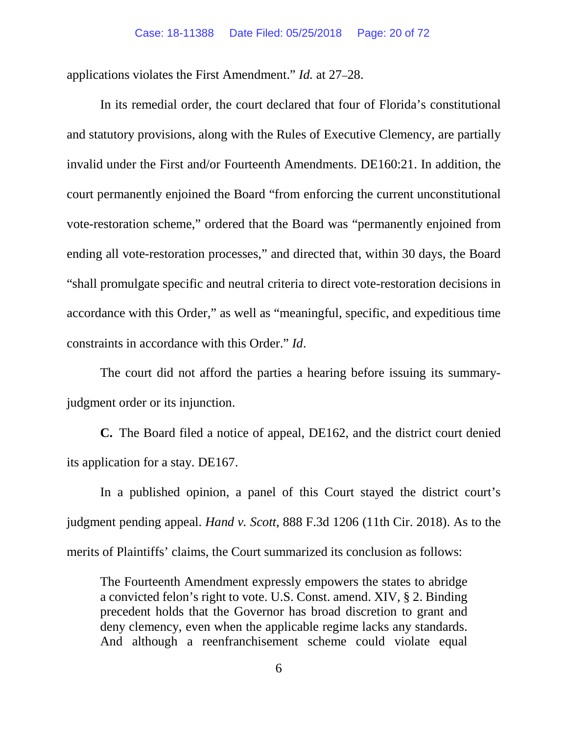applications violates the First Amendment." *Id.* at 27–28.

In its remedial order, the court declared that four of Florida's constitutional and statutory provisions, along with the Rules of Executive Clemency, are partially invalid under the First and/or Fourteenth Amendments. DE160:21. In addition, the court permanently enjoined the Board "from enforcing the current unconstitutional vote-restoration scheme," ordered that the Board was "permanently enjoined from ending all vote-restoration processes," and directed that, within 30 days, the Board "shall promulgate specific and neutral criteria to direct vote-restoration decisions in accordance with this Order," as well as "meaningful, specific, and expeditious time constraints in accordance with this Order." *Id*.

The court did not afford the parties a hearing before issuing its summaryjudgment order or its injunction.

**C.** The Board filed a notice of appeal, DE162, and the district court denied its application for a stay. DE167.

In a published opinion, a panel of this Court stayed the district court's judgment pending appeal. *Hand v. Scott*, 888 F.3d 1206 (11th Cir. 2018). As to the merits of Plaintiffs' claims, the Court summarized its conclusion as follows:

The Fourteenth Amendment expressly empowers the states to abridge a convicted felon's right to vote. U.S. Const. amend. XIV, § 2. Binding precedent holds that the Governor has broad discretion to grant and deny clemency, even when the applicable regime lacks any standards. And although a reenfranchisement scheme could violate equal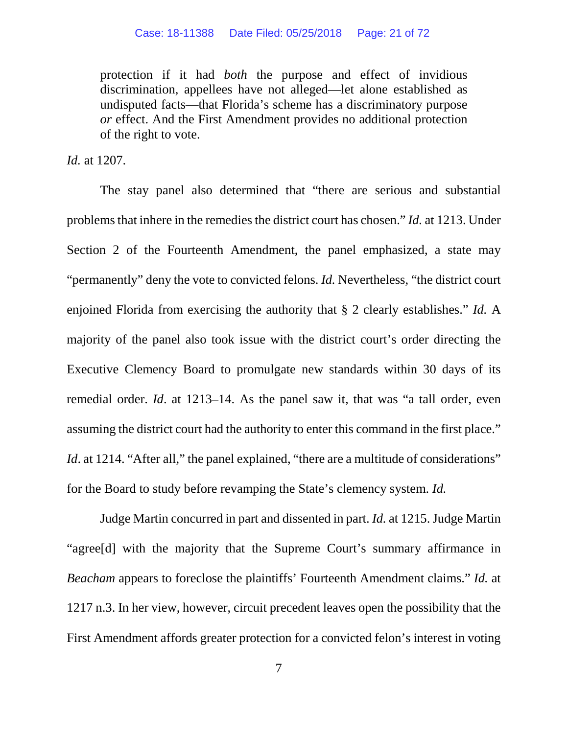protection if it had *both* the purpose and effect of invidious discrimination, appellees have not alleged—let alone established as undisputed facts—that Florida's scheme has a discriminatory purpose *or* effect. And the First Amendment provides no additional protection of the right to vote.

*Id.* at 1207.

The stay panel also determined that "there are serious and substantial problems that inhere in the remedies the district court has chosen." *Id.* at 1213. Under Section 2 of the Fourteenth Amendment, the panel emphasized, a state may "permanently" deny the vote to convicted felons. *Id.* Nevertheless, "the district court enjoined Florida from exercising the authority that § 2 clearly establishes." *Id.* A majority of the panel also took issue with the district court's order directing the Executive Clemency Board to promulgate new standards within 30 days of its remedial order. *Id*. at 1213–14. As the panel saw it, that was "a tall order, even assuming the district court had the authority to enter this command in the first place." *Id.* at 1214. "After all," the panel explained, "there are a multitude of considerations" for the Board to study before revamping the State's clemency system. *Id.* 

Judge Martin concurred in part and dissented in part. *Id.* at 1215. Judge Martin "agree[d] with the majority that the Supreme Court's summary affirmance in *Beacham* appears to foreclose the plaintiffs' Fourteenth Amendment claims." *Id.* at 1217 n.3. In her view, however, circuit precedent leaves open the possibility that the First Amendment affords greater protection for a convicted felon's interest in voting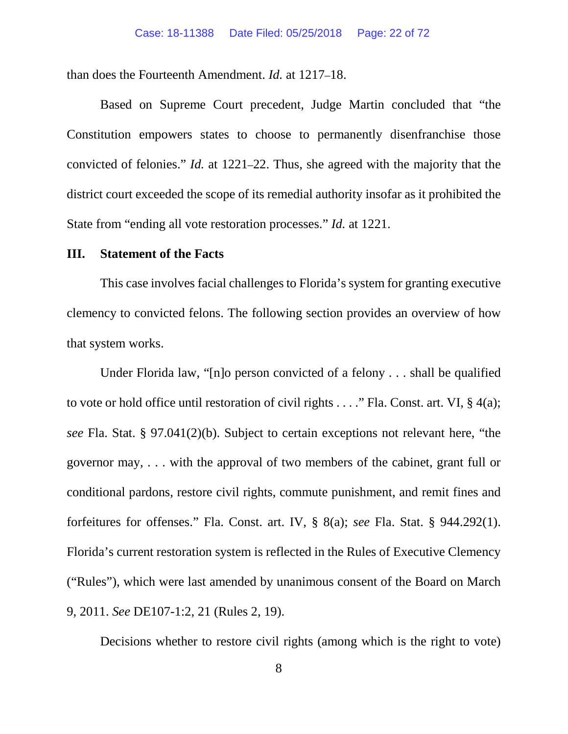than does the Fourteenth Amendment. *Id.* at 1217–18.

Based on Supreme Court precedent, Judge Martin concluded that "the Constitution empowers states to choose to permanently disenfranchise those convicted of felonies." *Id.* at 1221–22. Thus, she agreed with the majority that the district court exceeded the scope of its remedial authority insofar as it prohibited the State from "ending all vote restoration processes." *Id.* at 1221.

## <span id="page-21-0"></span>**III. Statement of the Facts**

This case involves facial challenges to Florida's system for granting executive clemency to convicted felons. The following section provides an overview of how that system works.

Under Florida law, "[n]o person convicted of a felony . . . shall be qualified to vote or hold office until restoration of civil rights  $\dots$ ." Fla. Const. art. VI, § 4(a); *see* Fla. Stat. § 97.041(2)(b). Subject to certain exceptions not relevant here, "the governor may, . . . with the approval of two members of the cabinet, grant full or conditional pardons, restore civil rights, commute punishment, and remit fines and forfeitures for offenses." Fla. Const. art. IV, § 8(a); *see* Fla. Stat. § 944.292(1). Florida's current restoration system is reflected in the Rules of Executive Clemency ("Rules"), which were last amended by unanimous consent of the Board on March 9, 2011. *See* DE107-1:2, 21 (Rules 2, 19).

Decisions whether to restore civil rights (among which is the right to vote)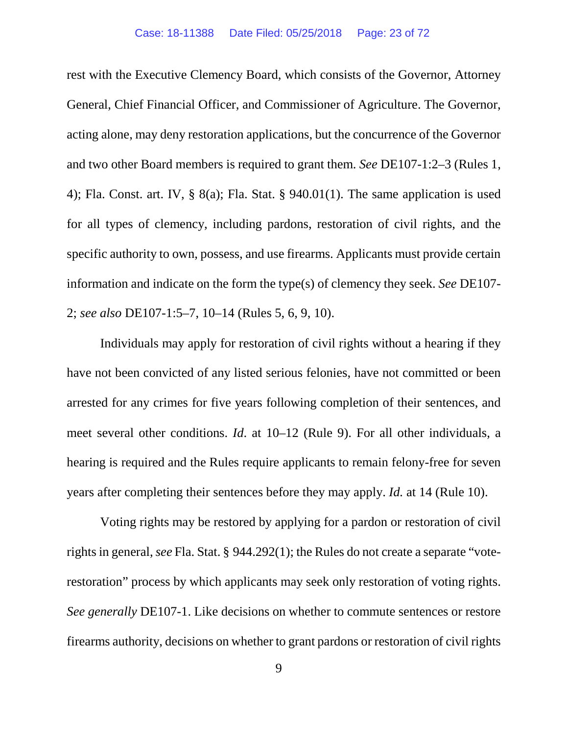rest with the Executive Clemency Board, which consists of the Governor, Attorney General, Chief Financial Officer, and Commissioner of Agriculture. The Governor, acting alone, may deny restoration applications, but the concurrence of the Governor and two other Board members is required to grant them. *See* DE107-1:2–3 (Rules 1, 4); Fla. Const. art. IV, § 8(a); Fla. Stat. § 940.01(1). The same application is used for all types of clemency, including pardons, restoration of civil rights, and the specific authority to own, possess, and use firearms. Applicants must provide certain information and indicate on the form the type(s) of clemency they seek. *See* DE107- 2; *see also* DE107-1:5–7, 10–14 (Rules 5, 6, 9, 10).

Individuals may apply for restoration of civil rights without a hearing if they have not been convicted of any listed serious felonies, have not committed or been arrested for any crimes for five years following completion of their sentences, and meet several other conditions. *Id*. at 10–12 (Rule 9). For all other individuals, a hearing is required and the Rules require applicants to remain felony-free for seven years after completing their sentences before they may apply. *Id.* at 14 (Rule 10).

Voting rights may be restored by applying for a pardon or restoration of civil rights in general, *see* Fla. Stat. § 944.292(1); the Rules do not create a separate "voterestoration" process by which applicants may seek only restoration of voting rights. *See generally* DE107-1. Like decisions on whether to commute sentences or restore firearms authority, decisions on whether to grant pardons or restoration of civil rights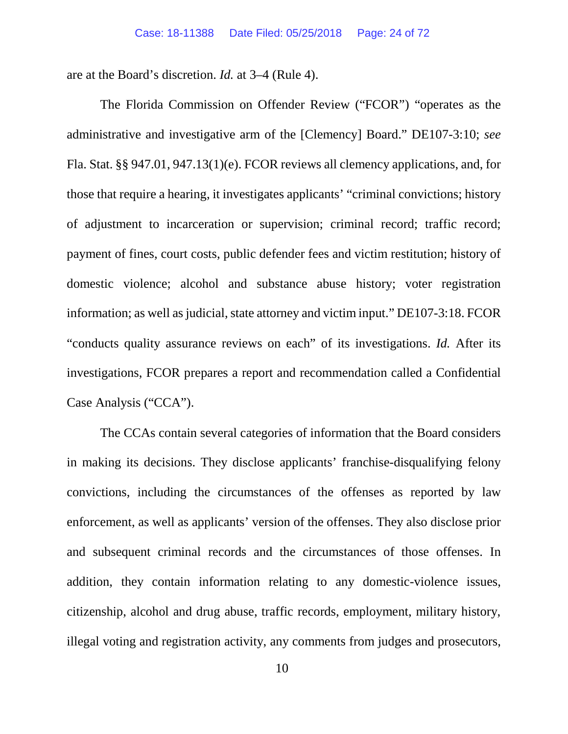are at the Board's discretion. *Id.* at 3–4 (Rule 4).

The Florida Commission on Offender Review ("FCOR") "operates as the administrative and investigative arm of the [Clemency] Board." DE107-3:10; *see* Fla. Stat. §§ 947.01, 947.13(1)(e). FCOR reviews all clemency applications, and, for those that require a hearing, it investigates applicants' "criminal convictions; history of adjustment to incarceration or supervision; criminal record; traffic record; payment of fines, court costs, public defender fees and victim restitution; history of domestic violence; alcohol and substance abuse history; voter registration information; as well as judicial, state attorney and victim input." DE107-3:18. FCOR "conducts quality assurance reviews on each" of its investigations. *Id.* After its investigations, FCOR prepares a report and recommendation called a Confidential Case Analysis ("CCA").

The CCAs contain several categories of information that the Board considers in making its decisions. They disclose applicants' franchise-disqualifying felony convictions, including the circumstances of the offenses as reported by law enforcement, as well as applicants' version of the offenses. They also disclose prior and subsequent criminal records and the circumstances of those offenses. In addition, they contain information relating to any domestic-violence issues, citizenship, alcohol and drug abuse, traffic records, employment, military history, illegal voting and registration activity, any comments from judges and prosecutors,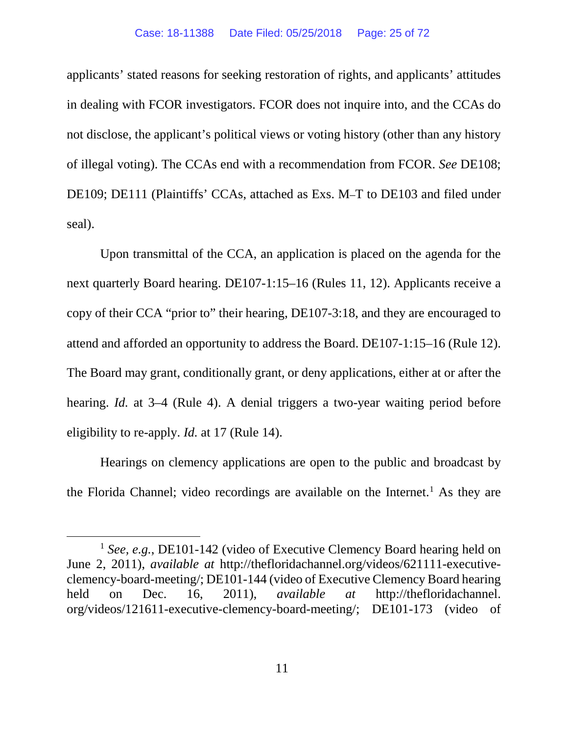applicants' stated reasons for seeking restoration of rights, and applicants' attitudes in dealing with FCOR investigators. FCOR does not inquire into, and the CCAs do not disclose, the applicant's political views or voting history (other than any history of illegal voting). The CCAs end with a recommendation from FCOR. *See* DE108; DE109; DE111 (Plaintiffs' CCAs, attached as Exs. M–T to DE103 and filed under seal).

Upon transmittal of the CCA, an application is placed on the agenda for the next quarterly Board hearing. DE107-1:15–16 (Rules 11, 12). Applicants receive a copy of their CCA "prior to" their hearing, DE107-3:18, and they are encouraged to attend and afforded an opportunity to address the Board. DE107-1:15–16 (Rule 12). The Board may grant, conditionally grant, or deny applications, either at or after the hearing. *Id.* at 3–4 (Rule 4). A denial triggers a two-year waiting period before eligibility to re-apply. *Id.* at 17 (Rule 14).

Hearings on clemency applications are open to the public and broadcast by the Florida Channel; video recordings are available on the Internet.<sup>[1](#page-24-0)</sup> As they are

<span id="page-24-0"></span><sup>&</sup>lt;sup>1</sup> *See, e.g.*, DE101-142 (video of Executive Clemency Board hearing held on June 2, 2011), *available at* http://thefloridachannel.org/videos/621111-executiveclemency-board-meeting/; DE101-144 (video of Executive Clemency Board hearing held on Dec. 16, 2011), *available at* http://thefloridachannel. org/videos/121611-executive-clemency-board-meeting/; DE101-173 (video of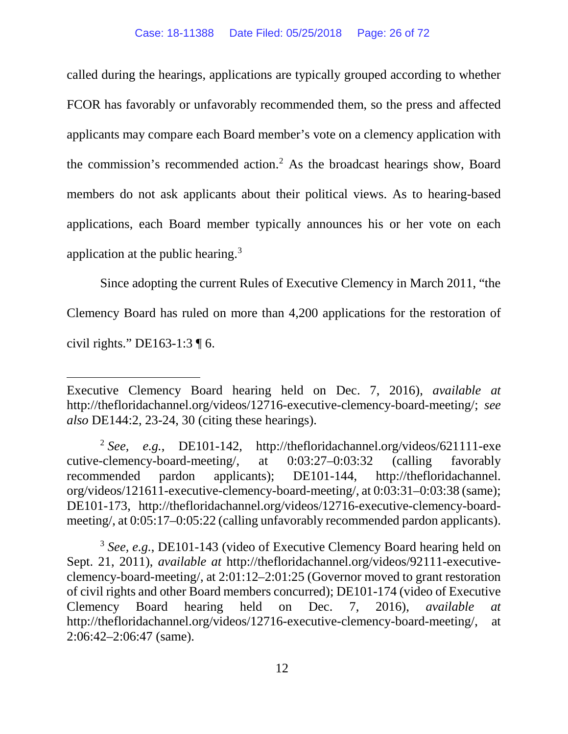called during the hearings, applications are typically grouped according to whether FCOR has favorably or unfavorably recommended them, so the press and affected applicants may compare each Board member's vote on a clemency application with the commission's recommended action.[2](#page-25-0) As the broadcast hearings show, Board members do not ask applicants about their political views. As to hearing-based applications, each Board member typically announces his or her vote on each application at the public hearing[.3](#page-25-1)

Since adopting the current Rules of Executive Clemency in March 2011, "the Clemency Board has ruled on more than 4,200 applications for the restoration of civil rights." DE163-1:3 ¶ 6.

 $\overline{a}$ 

<span id="page-25-1"></span><sup>3</sup> *See, e.g.*, DE101-143 (video of Executive Clemency Board hearing held on Sept. 21, 2011), *available at* http://thefloridachannel.org/videos/92111-executiveclemency-board-meeting/, at 2:01:12–2:01:25 (Governor moved to grant restoration of civil rights and other Board members concurred); DE101-174 (video of Executive Clemency Board hearing held on Dec. 7, 2016), *available at* http://thefloridachannel.org/videos/12716-executive-clemency-board-meeting/, at 2:06:42–2:06:47 (same).

Executive Clemency Board hearing held on Dec. 7, 2016), *available at* http://thefloridachannel.org/videos/12716-executive-clemency-board-meeting/; *see also* DE144:2, 23-24, 30 (citing these hearings).

<span id="page-25-0"></span><sup>2</sup> *See, e.g.*, DE101-142, http://thefloridachannel.org/videos/621111-exe cutive-clemency-board-meeting/, at 0:03:27–0:03:32 (calling favorably recommended pardon applicants); DE101-144, http://thefloridachannel. org/videos/121611-executive-clemency-board-meeting/, at 0:03:31–0:03:38 (same); DE101-173, http://thefloridachannel.org/videos/12716-executive-clemency-boardmeeting/, at 0:05:17–0:05:22 (calling unfavorably recommended pardon applicants).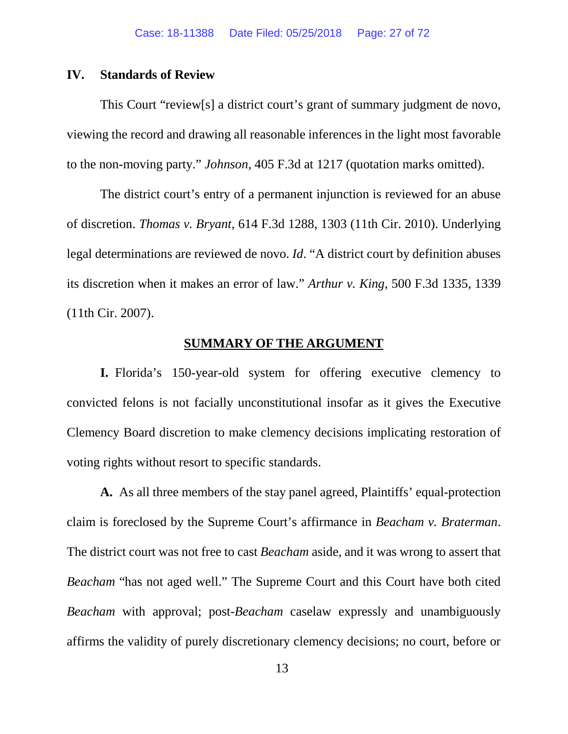# <span id="page-26-0"></span>**IV. Standards of Review**

This Court "review[s] a district court's grant of summary judgment de novo, viewing the record and drawing all reasonable inferences in the light most favorable to the non-moving party." *Johnson*, 405 F.3d at 1217 (quotation marks omitted).

The district court's entry of a permanent injunction is reviewed for an abuse of discretion. *Thomas v. Bryant*, 614 F.3d 1288, 1303 (11th Cir. 2010). Underlying legal determinations are reviewed de novo. *Id*. "A district court by definition abuses its discretion when it makes an error of law." *Arthur v. King*, 500 F.3d 1335, 1339 (11th Cir. 2007).

### **SUMMARY OF THE ARGUMENT**

<span id="page-26-1"></span>**I.** Florida's 150-year-old system for offering executive clemency to convicted felons is not facially unconstitutional insofar as it gives the Executive Clemency Board discretion to make clemency decisions implicating restoration of voting rights without resort to specific standards.

**A.** As all three members of the stay panel agreed, Plaintiffs' equal-protection claim is foreclosed by the Supreme Court's affirmance in *Beacham v. Braterman*. The district court was not free to cast *Beacham* aside, and it was wrong to assert that *Beacham* "has not aged well." The Supreme Court and this Court have both cited *Beacham* with approval; post-*Beacham* caselaw expressly and unambiguously affirms the validity of purely discretionary clemency decisions; no court, before or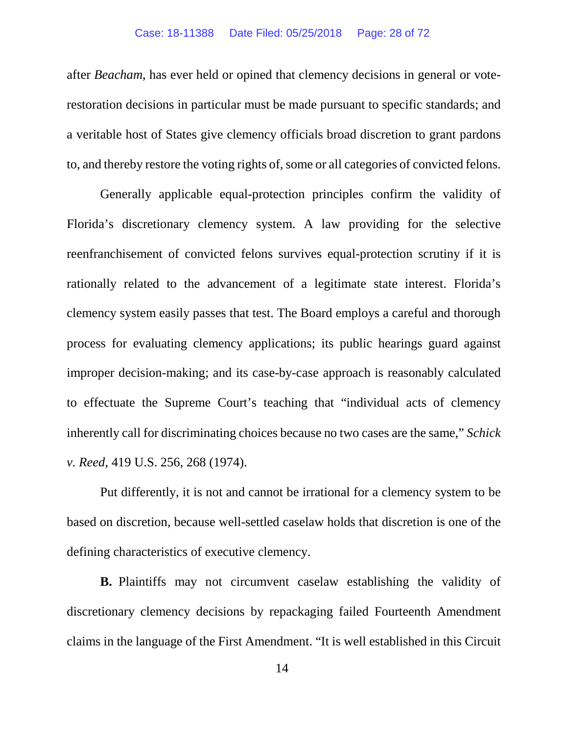after *Beacham*, has ever held or opined that clemency decisions in general or voterestoration decisions in particular must be made pursuant to specific standards; and a veritable host of States give clemency officials broad discretion to grant pardons to, and thereby restore the voting rights of, some or all categories of convicted felons.

Generally applicable equal-protection principles confirm the validity of Florida's discretionary clemency system. A law providing for the selective reenfranchisement of convicted felons survives equal-protection scrutiny if it is rationally related to the advancement of a legitimate state interest. Florida's clemency system easily passes that test. The Board employs a careful and thorough process for evaluating clemency applications; its public hearings guard against improper decision-making; and its case-by-case approach is reasonably calculated to effectuate the Supreme Court's teaching that "individual acts of clemency inherently call for discriminating choices because no two cases are the same," *Schick v. Reed*, 419 U.S. 256, 268 (1974).

Put differently, it is not and cannot be irrational for a clemency system to be based on discretion, because well-settled caselaw holds that discretion is one of the defining characteristics of executive clemency.

**B.** Plaintiffs may not circumvent caselaw establishing the validity of discretionary clemency decisions by repackaging failed Fourteenth Amendment claims in the language of the First Amendment. "It is well established in this Circuit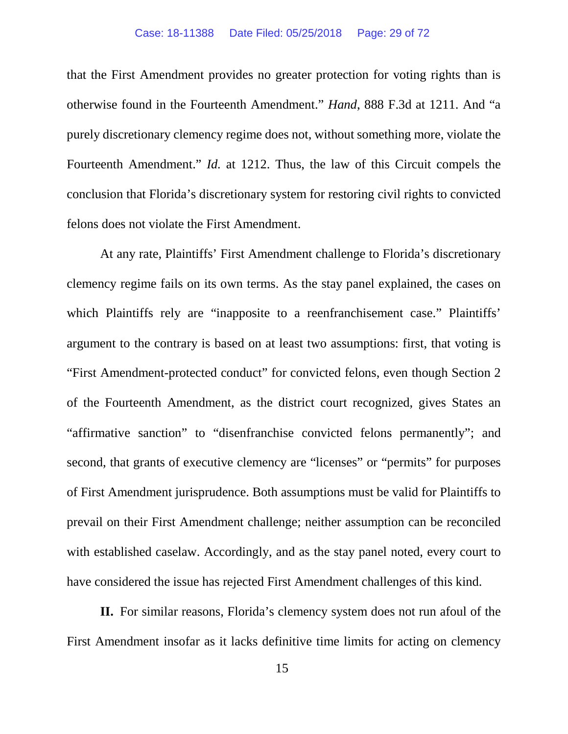that the First Amendment provides no greater protection for voting rights than is otherwise found in the Fourteenth Amendment." *Hand*, 888 F.3d at 1211. And "a purely discretionary clemency regime does not, without something more, violate the Fourteenth Amendment." *Id.* at 1212. Thus, the law of this Circuit compels the conclusion that Florida's discretionary system for restoring civil rights to convicted felons does not violate the First Amendment.

At any rate, Plaintiffs' First Amendment challenge to Florida's discretionary clemency regime fails on its own terms. As the stay panel explained, the cases on which Plaintiffs rely are "inapposite to a reenfranchisement case." Plaintiffs' argument to the contrary is based on at least two assumptions: first, that voting is "First Amendment-protected conduct" for convicted felons, even though Section 2 of the Fourteenth Amendment, as the district court recognized, gives States an "affirmative sanction" to "disenfranchise convicted felons permanently"; and second, that grants of executive clemency are "licenses" or "permits" for purposes of First Amendment jurisprudence. Both assumptions must be valid for Plaintiffs to prevail on their First Amendment challenge; neither assumption can be reconciled with established caselaw. Accordingly, and as the stay panel noted, every court to have considered the issue has rejected First Amendment challenges of this kind.

**II.** For similar reasons, Florida's clemency system does not run afoul of the First Amendment insofar as it lacks definitive time limits for acting on clemency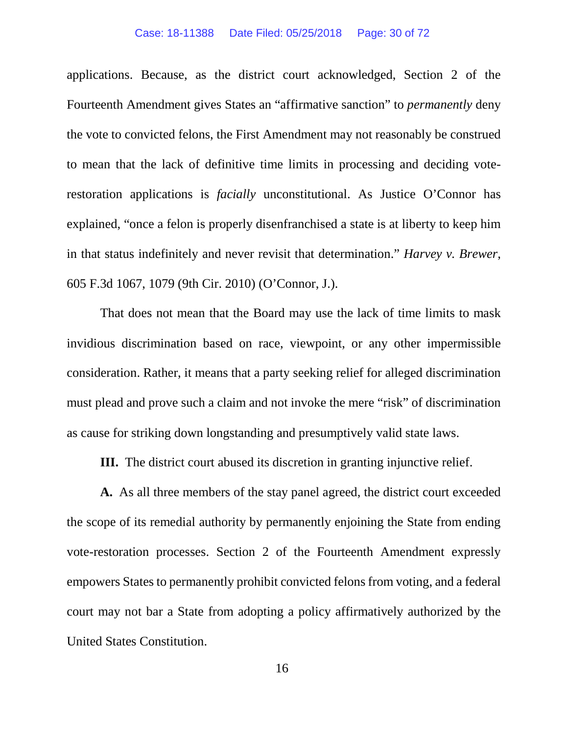#### Case: 18-11388 Date Filed: 05/25/2018 Page: 30 of 72

applications. Because, as the district court acknowledged, Section 2 of the Fourteenth Amendment gives States an "affirmative sanction" to *permanently* deny the vote to convicted felons, the First Amendment may not reasonably be construed to mean that the lack of definitive time limits in processing and deciding voterestoration applications is *facially* unconstitutional. As Justice O'Connor has explained, "once a felon is properly disenfranchised a state is at liberty to keep him in that status indefinitely and never revisit that determination." *Harvey v. Brewer*, 605 F.3d 1067, 1079 (9th Cir. 2010) (O'Connor, J.).

That does not mean that the Board may use the lack of time limits to mask invidious discrimination based on race, viewpoint, or any other impermissible consideration. Rather, it means that a party seeking relief for alleged discrimination must plead and prove such a claim and not invoke the mere "risk" of discrimination as cause for striking down longstanding and presumptively valid state laws.

**III.** The district court abused its discretion in granting injunctive relief.

**A.** As all three members of the stay panel agreed, the district court exceeded the scope of its remedial authority by permanently enjoining the State from ending vote-restoration processes. Section 2 of the Fourteenth Amendment expressly empowers States to permanently prohibit convicted felons from voting, and a federal court may not bar a State from adopting a policy affirmatively authorized by the United States Constitution.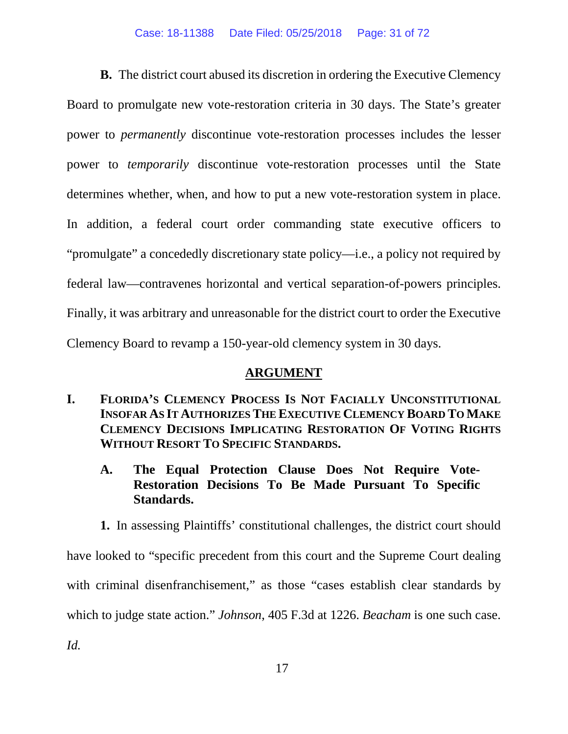# Case: 18-11388 Date Filed: 05/25/2018 Page: 31 of 72

**B.** The district court abused its discretion in ordering the Executive Clemency Board to promulgate new vote-restoration criteria in 30 days. The State's greater power to *permanently* discontinue vote-restoration processes includes the lesser power to *temporarily* discontinue vote-restoration processes until the State determines whether, when, and how to put a new vote-restoration system in place. In addition, a federal court order commanding state executive officers to "promulgate" a concededly discretionary state policy—i.e., a policy not required by federal law—contravenes horizontal and vertical separation-of-powers principles. Finally, it was arbitrary and unreasonable for the district court to order the Executive Clemency Board to revamp a 150-year-old clemency system in 30 days.

# **ARGUMENT**

- <span id="page-30-1"></span><span id="page-30-0"></span>**I. FLORIDA'S CLEMENCY PROCESS IS NOT FACIALLY UNCONSTITUTIONAL INSOFAR AS IT AUTHORIZES THE EXECUTIVE CLEMENCY BOARD TO MAKE CLEMENCY DECISIONS IMPLICATING RESTORATION OF VOTING RIGHTS WITHOUT RESORT TO SPECIFIC STANDARDS.**
	- **A. The Equal Protection Clause Does Not Require Vote-Restoration Decisions To Be Made Pursuant To Specific Standards.**

<span id="page-30-2"></span>**1.** In assessing Plaintiffs' constitutional challenges, the district court should have looked to "specific precedent from this court and the Supreme Court dealing with criminal disenfranchisement," as those "cases establish clear standards by which to judge state action." *Johnson*, 405 F.3d at 1226. *Beacham* is one such case. *Id.*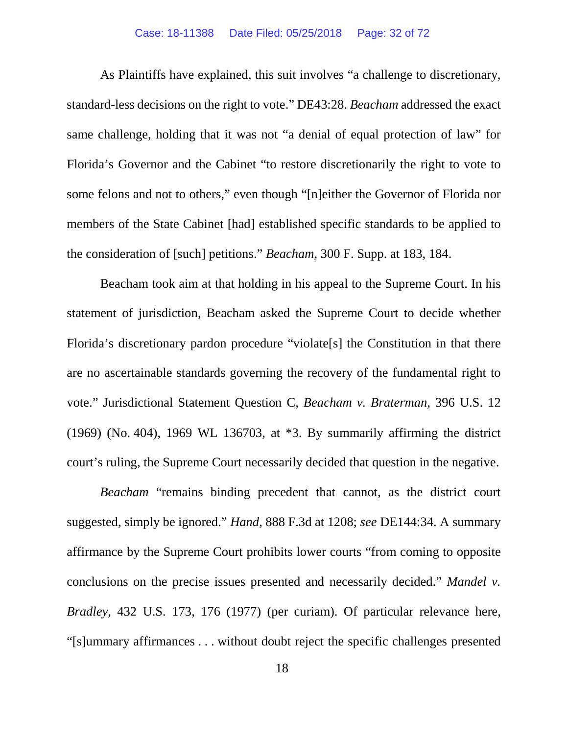### Case: 18-11388 Date Filed: 05/25/2018 Page: 32 of 72

As Plaintiffs have explained, this suit involves "a challenge to discretionary, standard-less decisions on the right to vote." DE43:28. *Beacham* addressed the exact same challenge, holding that it was not "a denial of equal protection of law" for Florida's Governor and the Cabinet "to restore discretionarily the right to vote to some felons and not to others," even though "[n]either the Governor of Florida nor members of the State Cabinet [had] established specific standards to be applied to the consideration of [such] petitions." *Beacham*, 300 F. Supp. at 183, 184.

Beacham took aim at that holding in his appeal to the Supreme Court. In his statement of jurisdiction, Beacham asked the Supreme Court to decide whether Florida's discretionary pardon procedure "violate[s] the Constitution in that there are no ascertainable standards governing the recovery of the fundamental right to vote." Jurisdictional Statement Question C, *Beacham v. Braterman*, 396 U.S. 12 (1969) (No. 404), 1969 WL 136703, at \*3. By summarily affirming the district court's ruling, the Supreme Court necessarily decided that question in the negative.

*Beacham* "remains binding precedent that cannot, as the district court suggested, simply be ignored." *Hand*, 888 F.3d at 1208; *see* DE144:34. A summary affirmance by the Supreme Court prohibits lower courts "from coming to opposite conclusions on the precise issues presented and necessarily decided." *Mandel v. Bradley*, 432 U.S. 173, 176 (1977) (per curiam). Of particular relevance here, "[s]ummary affirmances . . . without doubt reject the specific challenges presented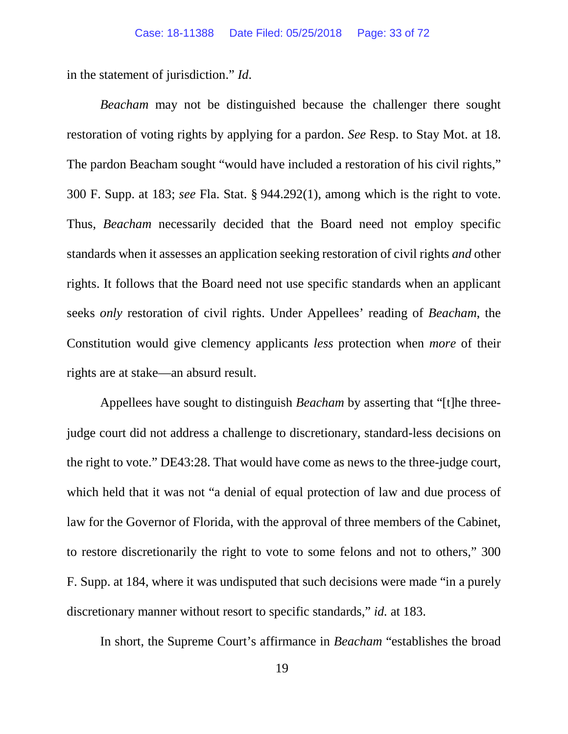in the statement of jurisdiction." *Id*.

*Beacham* may not be distinguished because the challenger there sought restoration of voting rights by applying for a pardon. *See* Resp. to Stay Mot. at 18. The pardon Beacham sought "would have included a restoration of his civil rights," 300 F. Supp. at 183; *see* Fla. Stat. § 944.292(1), among which is the right to vote. Thus, *Beacham* necessarily decided that the Board need not employ specific standards when it assesses an application seeking restoration of civil rights *and* other rights. It follows that the Board need not use specific standards when an applicant seeks *only* restoration of civil rights. Under Appellees' reading of *Beacham*, the Constitution would give clemency applicants *less* protection when *more* of their rights are at stake—an absurd result.

Appellees have sought to distinguish *Beacham* by asserting that "[t]he threejudge court did not address a challenge to discretionary, standard-less decisions on the right to vote." DE43:28. That would have come as news to the three-judge court, which held that it was not "a denial of equal protection of law and due process of law for the Governor of Florida, with the approval of three members of the Cabinet, to restore discretionarily the right to vote to some felons and not to others," 300 F. Supp. at 184, where it was undisputed that such decisions were made "in a purely discretionary manner without resort to specific standards," *id.* at 183.

In short, the Supreme Court's affirmance in *Beacham* "establishes the broad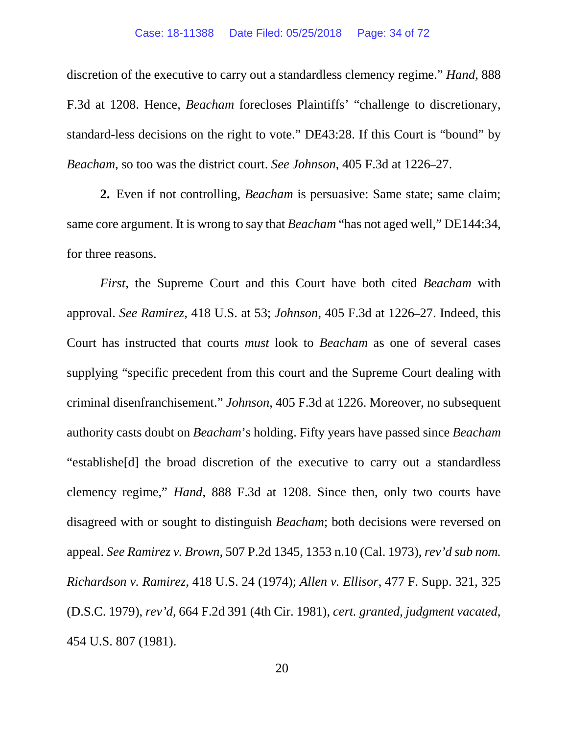discretion of the executive to carry out a standardless clemency regime." *Hand*, 888 F.3d at 1208. Hence, *Beacham* forecloses Plaintiffs' "challenge to discretionary, standard-less decisions on the right to vote." DE43:28. If this Court is "bound" by *Beacham*, so too was the district court. *See Johnson*, 405 F.3d at 1226–27.

**2.** Even if not controlling, *Beacham* is persuasive: Same state; same claim; same core argument. It is wrong to say that *Beacham* "has not aged well," DE144:34, for three reasons.

*First*, the Supreme Court and this Court have both cited *Beacham* with approval. *See Ramirez*, 418 U.S. at 53; *Johnson*, 405 F.3d at 1226–27. Indeed, this Court has instructed that courts *must* look to *Beacham* as one of several cases supplying "specific precedent from this court and the Supreme Court dealing with criminal disenfranchisement." *Johnson*, 405 F.3d at 1226. Moreover, no subsequent authority casts doubt on *Beacham*'s holding. Fifty years have passed since *Beacham*  "establishe[d] the broad discretion of the executive to carry out a standardless clemency regime," *Hand*, 888 F.3d at 1208. Since then, only two courts have disagreed with or sought to distinguish *Beacham*; both decisions were reversed on appeal. *See Ramirez v. Brown*, 507 P.2d 1345, 1353 n.10 (Cal. 1973), *rev'd sub nom. Richardson v. Ramirez*, 418 U.S. 24 (1974); *Allen v. Ellisor*, 477 F. Supp. 321, 325 (D.S.C. 1979), *rev'd*, 664 F.2d 391 (4th Cir. 1981), *cert. granted, judgment vacated*, 454 U.S. 807 (1981).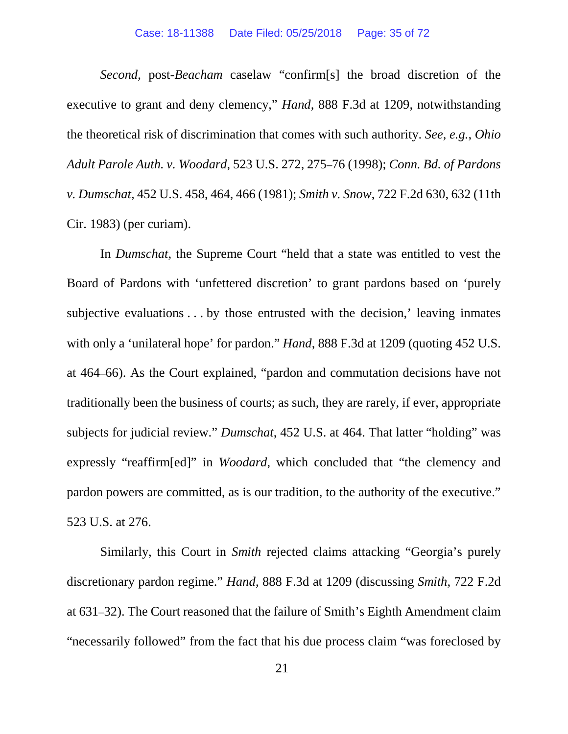#### Case: 18-11388 Date Filed: 05/25/2018 Page: 35 of 72

*Second*, post-*Beacham* caselaw "confirm[s] the broad discretion of the executive to grant and deny clemency," *Hand*, 888 F.3d at 1209, notwithstanding the theoretical risk of discrimination that comes with such authority. *See, e.g.*, *Ohio Adult Parole Auth. v. Woodard*, 523 U.S. 272, 275–76 (1998); *Conn. Bd. of Pardons v. Dumschat*, 452 U.S. 458, 464, 466 (1981); *Smith v. Snow*, 722 F.2d 630, 632 (11th Cir. 1983) (per curiam).

In *Dumschat*, the Supreme Court "held that a state was entitled to vest the Board of Pardons with 'unfettered discretion' to grant pardons based on 'purely subjective evaluations . . . by those entrusted with the decision,' leaving inmates with only a 'unilateral hope' for pardon." *Hand*, 888 F.3d at 1209 (quoting 452 U.S. at 464–66). As the Court explained, "pardon and commutation decisions have not traditionally been the business of courts; as such, they are rarely, if ever, appropriate subjects for judicial review." *Dumschat*, 452 U.S. at 464. That latter "holding" was expressly "reaffirm[ed]" in *Woodard*, which concluded that "the clemency and pardon powers are committed, as is our tradition, to the authority of the executive." 523 U.S. at 276.

Similarly, this Court in *Smith* rejected claims attacking "Georgia's purely discretionary pardon regime." *Hand*, 888 F.3d at 1209 (discussing *Smith*, 722 F.2d at 631–32). The Court reasoned that the failure of Smith's Eighth Amendment claim "necessarily followed" from the fact that his due process claim "was foreclosed by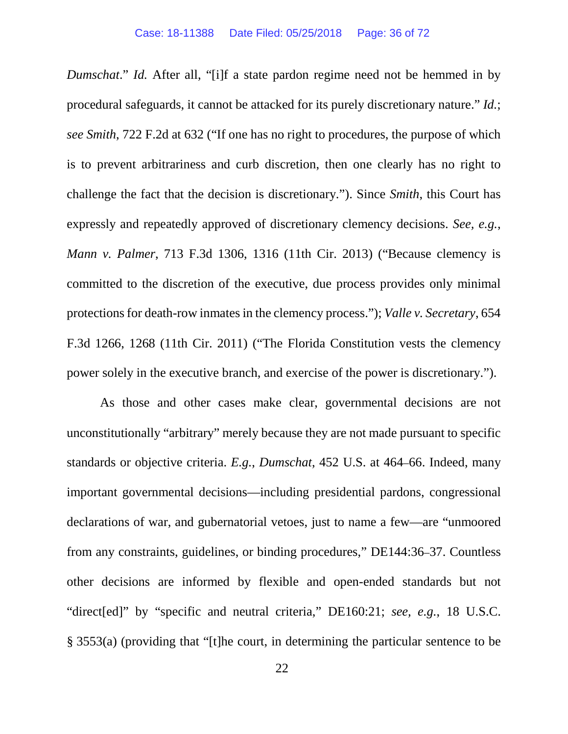*Dumschat*." *Id.* After all, "[i]f a state pardon regime need not be hemmed in by procedural safeguards, it cannot be attacked for its purely discretionary nature." *Id.*; *see Smith*, 722 F.2d at 632 ("If one has no right to procedures, the purpose of which is to prevent arbitrariness and curb discretion, then one clearly has no right to challenge the fact that the decision is discretionary."). Since *Smith*, this Court has expressly and repeatedly approved of discretionary clemency decisions. *See, e.g.*, *Mann v. Palmer*, 713 F.3d 1306, 1316 (11th Cir. 2013) ("Because clemency is committed to the discretion of the executive, due process provides only minimal protections for death-row inmates in the clemency process."); *Valle v. Secretary*, 654 F.3d 1266, 1268 (11th Cir. 2011) ("The Florida Constitution vests the clemency power solely in the executive branch, and exercise of the power is discretionary.").

As those and other cases make clear, governmental decisions are not unconstitutionally "arbitrary" merely because they are not made pursuant to specific standards or objective criteria. *E.g.*, *Dumschat*, 452 U.S. at 464–66. Indeed, many important governmental decisions—including presidential pardons, congressional declarations of war, and gubernatorial vetoes, just to name a few—are "unmoored from any constraints, guidelines, or binding procedures," DE144:36–37. Countless other decisions are informed by flexible and open-ended standards but not "direct[ed]" by "specific and neutral criteria," DE160:21; *see, e.g.*, 18 U.S.C. § 3553(a) (providing that "[t]he court, in determining the particular sentence to be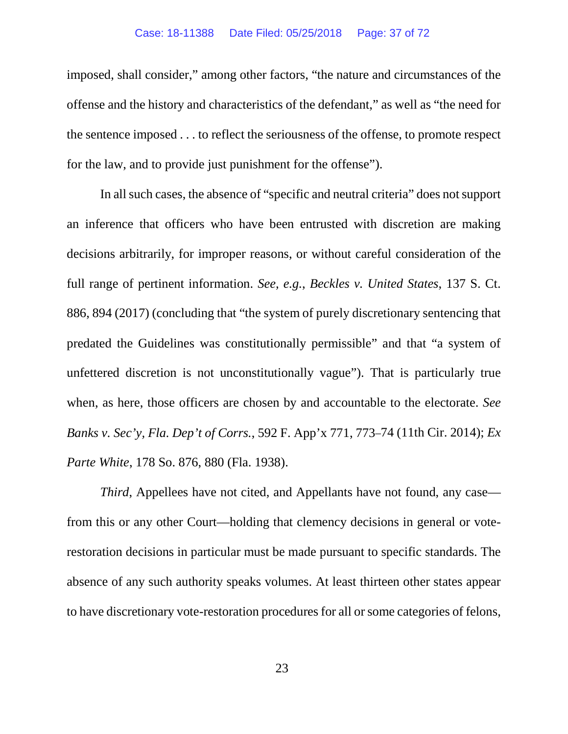imposed, shall consider," among other factors, "the nature and circumstances of the offense and the history and characteristics of the defendant," as well as "the need for the sentence imposed . . . to reflect the seriousness of the offense, to promote respect for the law, and to provide just punishment for the offense").

In all such cases, the absence of "specific and neutral criteria" does not support an inference that officers who have been entrusted with discretion are making decisions arbitrarily, for improper reasons, or without careful consideration of the full range of pertinent information. *See, e.g.*, *Beckles v. United States*, 137 S. Ct. 886, 894 (2017) (concluding that "the system of purely discretionary sentencing that predated the Guidelines was constitutionally permissible" and that "a system of unfettered discretion is not unconstitutionally vague"). That is particularly true when, as here, those officers are chosen by and accountable to the electorate. *See Banks v. Sec'y, Fla. Dep't of Corrs.*, 592 F. App'x 771, 773–74 (11th Cir. 2014); *Ex Parte White*, 178 So. 876, 880 (Fla. 1938).

*Third*, Appellees have not cited, and Appellants have not found, any case from this or any other Court—holding that clemency decisions in general or voterestoration decisions in particular must be made pursuant to specific standards. The absence of any such authority speaks volumes. At least thirteen other states appear to have discretionary vote-restoration procedures for all or some categories of felons,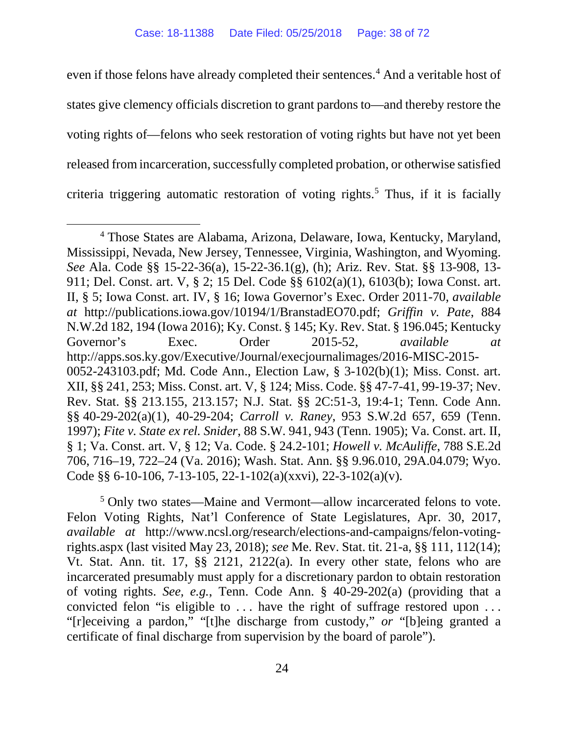even if those felons have already completed their sentences.<sup>[4](#page-37-0)</sup> And a veritable host of states give clemency officials discretion to grant pardons to—and thereby restore the voting rights of—felons who seek restoration of voting rights but have not yet been released from incarceration, successfully completed probation, or otherwise satisfied criteria triggering automatic restoration of voting rights.<sup>[5](#page-37-1)</sup> Thus, if it is facially

<span id="page-37-1"></span><sup>5</sup> Only two states—Maine and Vermont—allow incarcerated felons to vote. Felon Voting Rights, Nat'l Conference of State Legislatures, Apr. 30, 2017, *available at* http://www.ncsl.org/research/elections-and-campaigns/felon-votingrights.aspx (last visited May 23, 2018); *see* Me. Rev. Stat. tit. 21-a, §§ 111, 112(14); Vt. Stat. Ann. tit. 17, §§ 2121, 2122(a). In every other state, felons who are incarcerated presumably must apply for a discretionary pardon to obtain restoration of voting rights. *See, e.g.*, Tenn. Code Ann. § 40-29-202(a) (providing that a convicted felon "is eligible to . . . have the right of suffrage restored upon . . . "[r]eceiving a pardon," "[t]he discharge from custody," *or* "[b]eing granted a certificate of final discharge from supervision by the board of parole").

<span id="page-37-0"></span> <sup>4</sup> Those States are Alabama, Arizona, Delaware, Iowa, Kentucky, Maryland, Mississippi, Nevada, New Jersey, Tennessee, Virginia, Washington, and Wyoming. *See* Ala. Code §§ 15-22-36(a), 15-22-36.1(g), (h); Ariz. Rev. Stat. §§ 13-908, 13- 911; Del. Const. art. V, § 2; 15 Del. Code §§ 6102(a)(1), 6103(b); Iowa Const. art. II, § 5; Iowa Const. art. IV, § 16; Iowa Governor's Exec. Order 2011-70, *available at* http://publications.iowa.gov/10194/1/BranstadEO70.pdf; *Griffin v. Pate*, 884 N.W.2d 182, 194 (Iowa 2016); Ky. Const. § 145; Ky. Rev. Stat. § 196.045; Kentucky Governor's Exec. Order 2015-52, *available at* http://apps.sos.ky.gov/Executive/Journal/execjournalimages/2016-MISC-2015- 0052-243103.pdf; Md. Code Ann., Election Law, § 3-102(b)(1); Miss. Const. art. XII, §§ 241, 253; Miss. Const. art. V, § 124; Miss. Code. §§ 47-7-41, 99-19-37; Nev. Rev. Stat. §§ 213.155, 213.157; N.J. Stat. §§ 2C:51-3, 19:4-1; Tenn. Code Ann. §§ 40-29-202(a)(1), 40-29-204; *Carroll v. Raney*, 953 S.W.2d 657, 659 (Tenn. 1997); *Fite v. State ex rel. Snider*, 88 S.W. 941, 943 (Tenn. 1905); Va. Const. art. II, § 1; Va. Const. art. V, § 12; Va. Code. § 24.2-101; *Howell v. McAuliffe*, 788 S.E.2d 706, 716–19, 722–24 (Va. 2016); Wash. Stat. Ann. §§ 9.96.010, 29A.04.079; Wyo. Code §§ 6-10-106, 7-13-105, 22-1-102(a)(xxvi), 22-3-102(a)(v).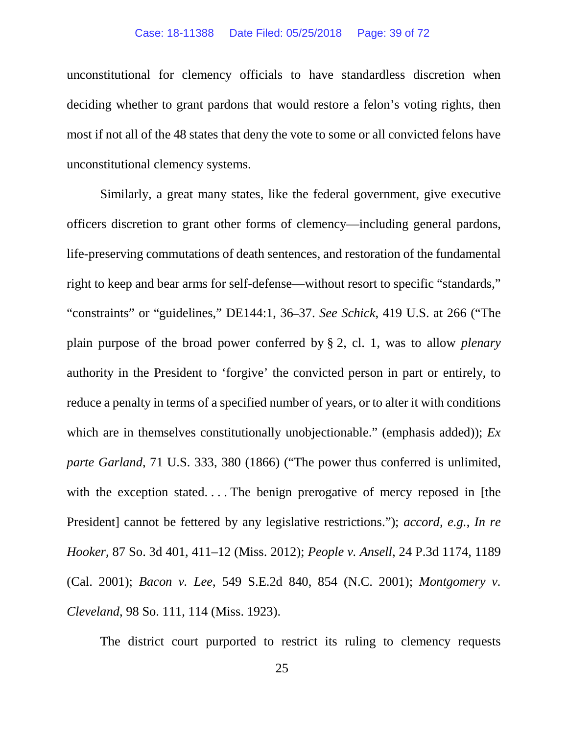#### Case: 18-11388 Date Filed: 05/25/2018 Page: 39 of 72

unconstitutional for clemency officials to have standardless discretion when deciding whether to grant pardons that would restore a felon's voting rights, then most if not all of the 48 states that deny the vote to some or all convicted felons have unconstitutional clemency systems.

Similarly, a great many states, like the federal government, give executive officers discretion to grant other forms of clemency—including general pardons, life-preserving commutations of death sentences, and restoration of the fundamental right to keep and bear arms for self-defense—without resort to specific "standards," "constraints" or "guidelines," DE144:1, 36–37. *See Schick*, 419 U.S. at 266 ("The plain purpose of the broad power conferred by § [2, cl. 1,](https://1.next.westlaw.com/Link/Document/FullText?findType=L&pubNum=1000546&cite=USCOARTIIS2CL1&originatingDoc=Iab8f6ca49bf011d991d0cc6b54f12d4d&refType=LQ&originationContext=document&transitionType=DocumentItem&contextData=(sc.UserEnteredCitation)) was to allow *plenary* authority in the President to 'forgive' the convicted person in part or entirely, to reduce a penalty in terms of a specified number of years, or to alter it with conditions which are in themselves constitutionally unobjectionable." (emphasis added)); *Ex parte Garland*, 71 U.S. 333, 380 (1866) ("The power thus conferred is unlimited, with the exception stated.... The benign prerogative of mercy reposed in [the President] cannot be fettered by any legislative restrictions."); *accord, e.g.*, *In re Hooker*, 87 So. 3d 401, 411–12 (Miss. 2012); *People v. Ansell*, 24 P.3d 1174, 1189 (Cal. 2001); *Bacon v. Lee*, 549 S.E.2d 840, 854 (N.C. 2001); *Montgomery v. Cleveland*, 98 So. 111, 114 (Miss. 1923).

The district court purported to restrict its ruling to clemency requests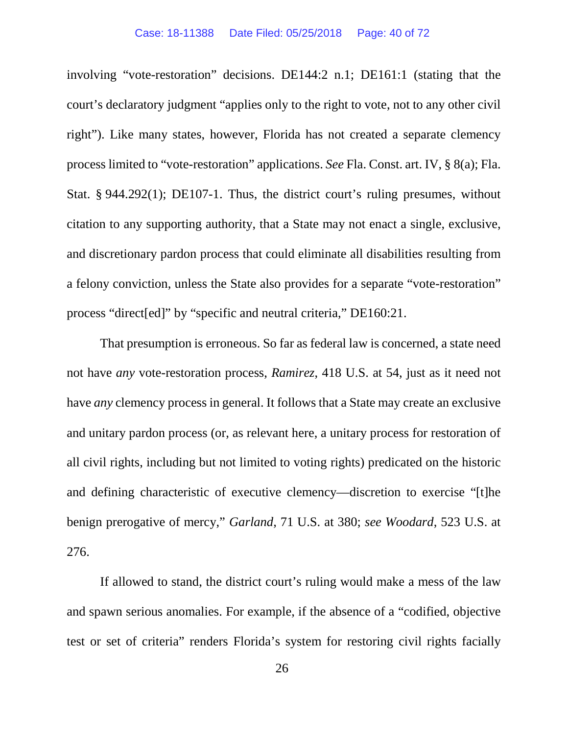involving "vote-restoration" decisions. DE144:2 n.1; DE161:1 (stating that the court's declaratory judgment "applies only to the right to vote, not to any other civil right"). Like many states, however, Florida has not created a separate clemency process limited to "vote-restoration" applications. *See* Fla. Const. art. IV, § 8(a); Fla. Stat. § 944.292(1); DE107-1. Thus, the district court's ruling presumes, without citation to any supporting authority, that a State may not enact a single, exclusive, and discretionary pardon process that could eliminate all disabilities resulting from a felony conviction, unless the State also provides for a separate "vote-restoration" process "direct[ed]" by "specific and neutral criteria," DE160:21.

That presumption is erroneous. So far as federal law is concerned, a state need not have *any* vote-restoration process, *Ramirez*, 418 U.S. at 54, just as it need not have *any* clemency process in general. It follows that a State may create an exclusive and unitary pardon process (or, as relevant here, a unitary process for restoration of all civil rights, including but not limited to voting rights) predicated on the historic and defining characteristic of executive clemency—discretion to exercise "[t]he benign prerogative of mercy," *Garland*, 71 U.S. at 380; *see Woodard*, 523 U.S. at 276.

If allowed to stand, the district court's ruling would make a mess of the law and spawn serious anomalies. For example, if the absence of a "codified, objective test or set of criteria" renders Florida's system for restoring civil rights facially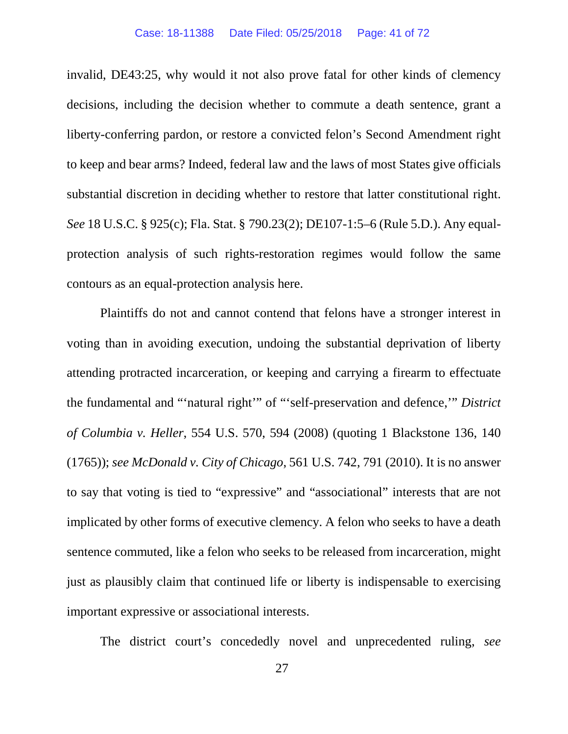invalid, DE43:25, why would it not also prove fatal for other kinds of clemency decisions, including the decision whether to commute a death sentence, grant a liberty-conferring pardon, or restore a convicted felon's Second Amendment right to keep and bear arms? Indeed, federal law and the laws of most States give officials substantial discretion in deciding whether to restore that latter constitutional right. *See* 18 U.S.C. § 925(c); Fla. Stat. § 790.23(2); DE107-1:5–6 (Rule 5.D.). Any equalprotection analysis of such rights-restoration regimes would follow the same contours as an equal-protection analysis here.

Plaintiffs do not and cannot contend that felons have a stronger interest in voting than in avoiding execution, undoing the substantial deprivation of liberty attending protracted incarceration, or keeping and carrying a firearm to effectuate the fundamental and "'natural right'" of "'self-preservation and defence,'" *District of Columbia v. Heller*, 554 U.S. 570, 594 (2008) (quoting 1 Blackstone 136, 140 (1765)); *see McDonald v. City of Chicago*, 561 U.S. 742, 791 (2010). It is no answer to say that voting is tied to "expressive" and "associational" interests that are not implicated by other forms of executive clemency. A felon who seeks to have a death sentence commuted, like a felon who seeks to be released from incarceration, might just as plausibly claim that continued life or liberty is indispensable to exercising important expressive or associational interests.

The district court's concededly novel and unprecedented ruling, *see*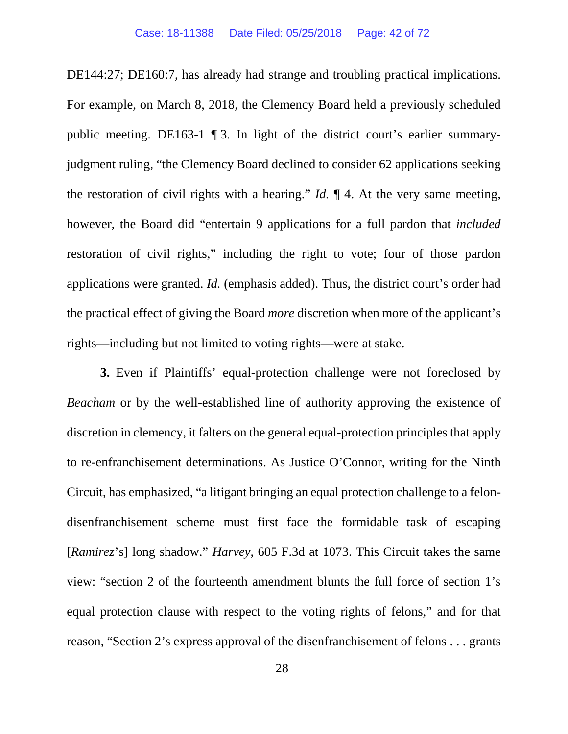DE144:27; DE160:7, has already had strange and troubling practical implications. For example, on March 8, 2018, the Clemency Board held a previously scheduled public meeting. DE163-1 ¶ 3. In light of the district court's earlier summaryjudgment ruling, "the Clemency Board declined to consider 62 applications seeking the restoration of civil rights with a hearing." *Id.* ¶ 4. At the very same meeting, however, the Board did "entertain 9 applications for a full pardon that *included* restoration of civil rights," including the right to vote; four of those pardon applications were granted. *Id.* (emphasis added). Thus, the district court's order had the practical effect of giving the Board *more* discretion when more of the applicant's rights—including but not limited to voting rights—were at stake.

**3.** Even if Plaintiffs' equal-protection challenge were not foreclosed by *Beacham* or by the well-established line of authority approving the existence of discretion in clemency, it falters on the general equal-protection principles that apply to re-enfranchisement determinations. As Justice O'Connor, writing for the Ninth Circuit, has emphasized, "a litigant bringing an equal protection challenge to a felondisenfranchisement scheme must first face the formidable task of escaping [*Ramirez*'s] long shadow." *Harvey*, 605 F.3d at 1073. This Circuit takes the same view: "section 2 of the fourteenth amendment blunts the full force of section 1's equal protection clause with respect to the voting rights of felons," and for that reason, "Section 2's express approval of the disenfranchisement of felons . . . grants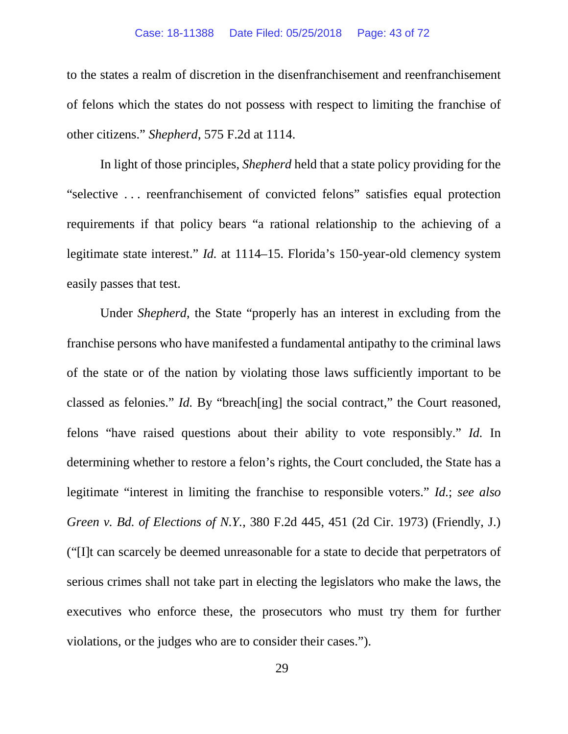to the states a realm of discretion in the disenfranchisement and reenfranchisement of felons which the states do not possess with respect to limiting the franchise of other citizens." *Shepherd*, 575 F.2d at 1114.

In light of those principles, *Shepherd* held that a state policy providing for the "selective . . . reenfranchisement of convicted felons" satisfies equal protection requirements if that policy bears "a rational relationship to the achieving of a legitimate state interest." *Id.* at 1114–15. Florida's 150-year-old clemency system easily passes that test.

Under *Shepherd*, the State "properly has an interest in excluding from the franchise persons who have manifested a fundamental antipathy to the criminal laws of the state or of the nation by violating those laws sufficiently important to be classed as felonies." *Id.* By "breach[ing] the social contract," the Court reasoned, felons "have raised questions about their ability to vote responsibly." *Id.* In determining whether to restore a felon's rights, the Court concluded, the State has a legitimate "interest in limiting the franchise to responsible voters." *Id.*; *see also Green v. Bd. of Elections of N.Y.*, 380 F.2d 445, 451 (2d Cir. 1973) (Friendly, J.) ("[I]t can scarcely be deemed unreasonable for a state to decide that perpetrators of serious crimes shall not take part in electing the legislators who make the laws, the executives who enforce these, the prosecutors who must try them for further violations, or the judges who are to consider their cases.").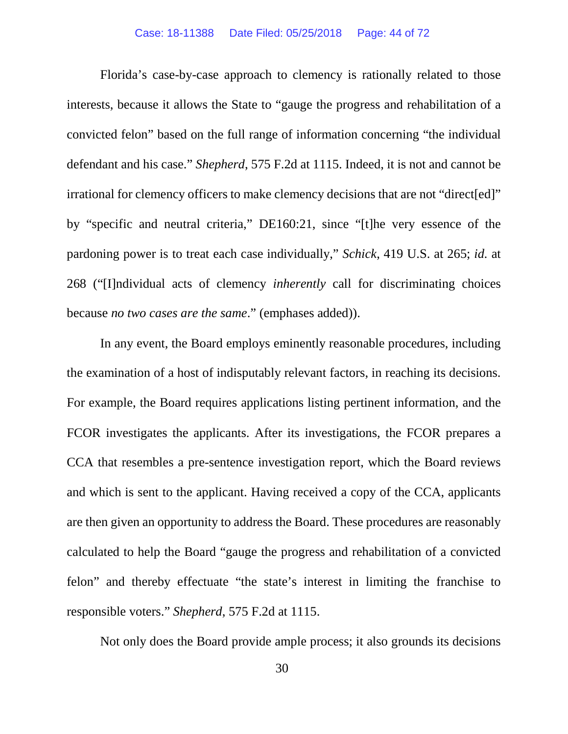Florida's case-by-case approach to clemency is rationally related to those interests, because it allows the State to "gauge the progress and rehabilitation of a convicted felon" based on the full range of information concerning "the individual defendant and his case." *Shepherd*, 575 F.2d at 1115. Indeed, it is not and cannot be irrational for clemency officers to make clemency decisions that are not "direct[ed]" by "specific and neutral criteria," DE160:21, since "[t]he very essence of the pardoning power is to treat each case individually," *Schick*, 419 U.S. at 265; *id.* at 268 ("[I]ndividual acts of clemency *inherently* call for discriminating choices because *no two cases are the same*." (emphases added)).

In any event, the Board employs eminently reasonable procedures, including the examination of a host of indisputably relevant factors, in reaching its decisions. For example, the Board requires applications listing pertinent information, and the FCOR investigates the applicants. After its investigations, the FCOR prepares a CCA that resembles a pre-sentence investigation report, which the Board reviews and which is sent to the applicant. Having received a copy of the CCA, applicants are then given an opportunity to address the Board. These procedures are reasonably calculated to help the Board "gauge the progress and rehabilitation of a convicted felon" and thereby effectuate "the state's interest in limiting the franchise to responsible voters." *Shepherd*, 575 F.2d at 1115.

Not only does the Board provide ample process; it also grounds its decisions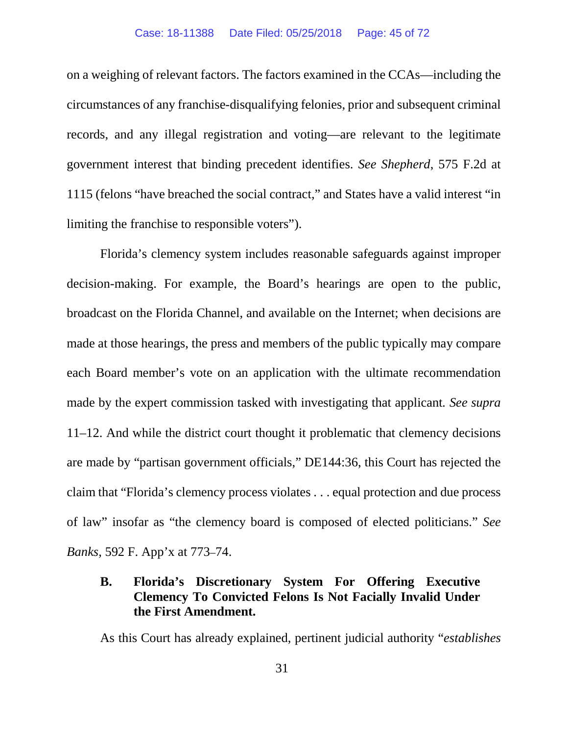on a weighing of relevant factors. The factors examined in the CCAs—including the circumstances of any franchise-disqualifying felonies, prior and subsequent criminal records, and any illegal registration and voting—are relevant to the legitimate government interest that binding precedent identifies. *See Shepherd*, 575 F.2d at 1115 (felons "have breached the social contract," and States have a valid interest "in limiting the franchise to responsible voters").

Florida's clemency system includes reasonable safeguards against improper decision-making. For example, the Board's hearings are open to the public, broadcast on the Florida Channel, and available on the Internet; when decisions are made at those hearings, the press and members of the public typically may compare each Board member's vote on an application with the ultimate recommendation made by the expert commission tasked with investigating that applicant*. See supra*  11–12. And while the district court thought it problematic that clemency decisions are made by "partisan government officials," DE144:36, this Court has rejected the claim that "Florida's clemency process violates . . . equal protection and due process of law" insofar as "the clemency board is composed of elected politicians." *See Banks*, 592 F. App'x at 773–74.

## **B. Florida's Discretionary System For Offering Executive Clemency To Convicted Felons Is Not Facially Invalid Under the First Amendment.**

As this Court has already explained, pertinent judicial authority "*establishes*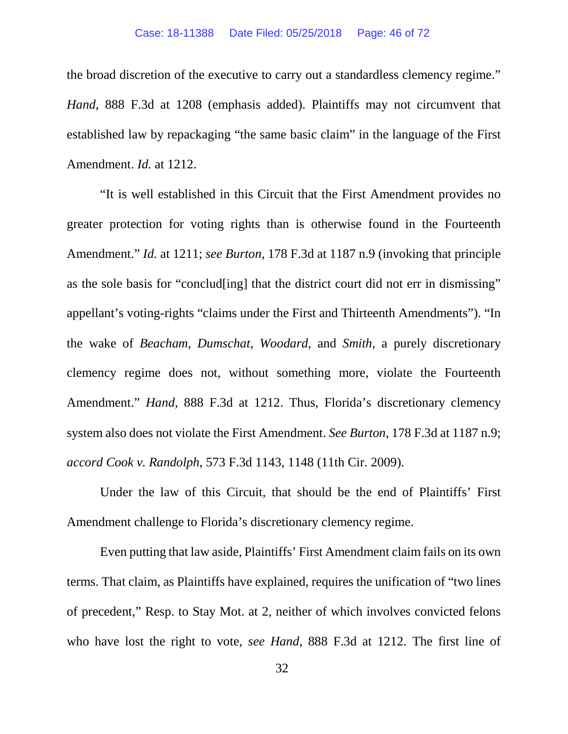the broad discretion of the executive to carry out a standardless clemency regime." *Hand*, 888 F.3d at 1208 (emphasis added). Plaintiffs may not circumvent that established law by repackaging "the same basic claim" in the language of the First Amendment. *Id.* at 1212.

"It is well established in this Circuit that the First Amendment provides no greater protection for voting rights than is otherwise found in the Fourteenth Amendment." *Id.* at 1211; *see Burton*, 178 F.3d at 1187 n.9 (invoking that principle as the sole basis for "conclud[ing] that the district court did not err in dismissing" appellant's voting-rights "claims under the First and Thirteenth Amendments"). "In the wake of *Beacham*, *Dumschat*, *Woodard*, and *Smith*, a purely discretionary clemency regime does not, without something more, violate the Fourteenth Amendment." *Hand*, 888 F.3d at 1212. Thus, Florida's discretionary clemency system also does not violate the First Amendment. *See Burton*, 178 F.3d at 1187 n.9; *accord Cook v. Randolph*, 573 F.3d 1143, 1148 (11th Cir. 2009).

Under the law of this Circuit, that should be the end of Plaintiffs' First Amendment challenge to Florida's discretionary clemency regime.

Even putting that law aside, Plaintiffs' First Amendment claim fails on its own terms. That claim, as Plaintiffs have explained, requires the unification of "two lines of precedent," Resp. to Stay Mot. at 2, neither of which involves convicted felons who have lost the right to vote, *see Hand*, 888 F.3d at 1212. The first line of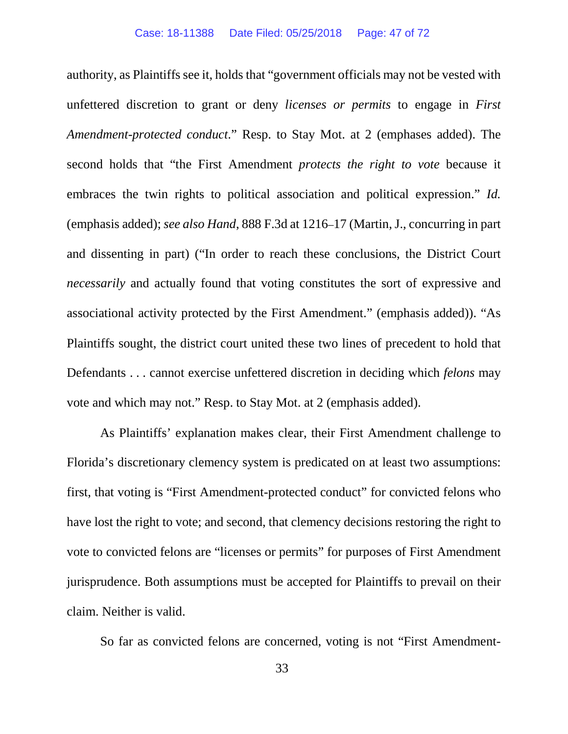authority, as Plaintiffs see it, holds that "government officials may not be vested with unfettered discretion to grant or deny *licenses or permits* to engage in *First Amendment-protected conduct*." Resp. to Stay Mot. at 2 (emphases added). The second holds that "the First Amendment *protects the right to vote* because it embraces the twin rights to political association and political expression." *Id.*  (emphasis added); *see also Hand*, 888 F.3d at 1216–17 (Martin, J., concurring in part and dissenting in part) ("In order to reach these conclusions, the District Court *necessarily* and actually found that voting constitutes the sort of expressive and associational activity protected by the First Amendment." (emphasis added)). "As Plaintiffs sought, the district court united these two lines of precedent to hold that Defendants . . . cannot exercise unfettered discretion in deciding which *felons* may vote and which may not." Resp. to Stay Mot. at 2 (emphasis added).

As Plaintiffs' explanation makes clear, their First Amendment challenge to Florida's discretionary clemency system is predicated on at least two assumptions: first, that voting is "First Amendment-protected conduct" for convicted felons who have lost the right to vote; and second, that clemency decisions restoring the right to vote to convicted felons are "licenses or permits" for purposes of First Amendment jurisprudence. Both assumptions must be accepted for Plaintiffs to prevail on their claim. Neither is valid.

So far as convicted felons are concerned, voting is not "First Amendment-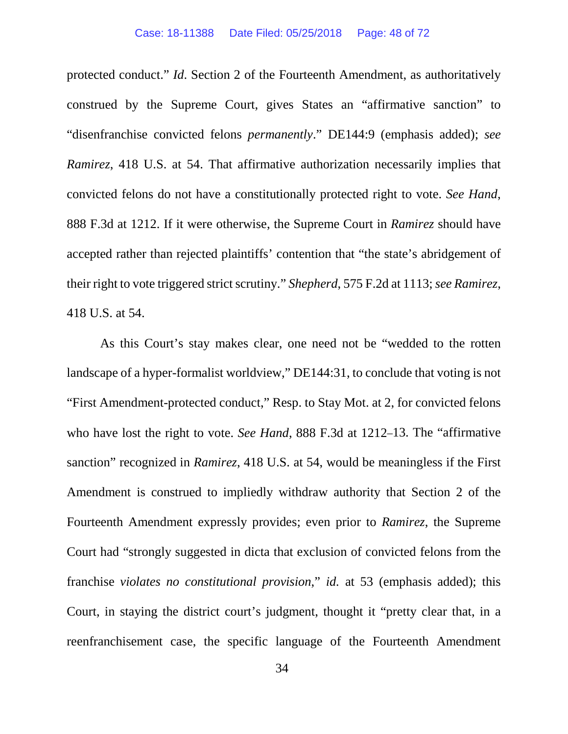protected conduct." *Id*. Section 2 of the Fourteenth Amendment, as authoritatively construed by the Supreme Court, gives States an "affirmative sanction" to "disenfranchise convicted felons *permanently*." DE144:9 (emphasis added); *see Ramirez*, 418 U.S. at 54. That affirmative authorization necessarily implies that convicted felons do not have a constitutionally protected right to vote. *See Hand*, 888 F.3d at 1212. If it were otherwise, the Supreme Court in *Ramirez* should have accepted rather than rejected plaintiffs' contention that "the state's abridgement of their right to vote triggered strict scrutiny." *Shepherd*, 575 F.2d at 1113; *see Ramirez*, 418 U.S. at 54.

As this Court's stay makes clear, one need not be "wedded to the rotten landscape of a hyper-formalist worldview," DE144:31, to conclude that voting is not "First Amendment-protected conduct," Resp. to Stay Mot. at 2, for convicted felons who have lost the right to vote. *See Hand*, 888 F.3d at 1212–13. The "affirmative sanction" recognized in *Ramirez*, 418 U.S. at 54, would be meaningless if the First Amendment is construed to impliedly withdraw authority that Section 2 of the Fourteenth Amendment expressly provides; even prior to *Ramirez*, the Supreme Court had "strongly suggested in dicta that exclusion of convicted felons from the franchise *violates no constitutional provision*," *id.* at 53 (emphasis added); this Court, in staying the district court's judgment, thought it "pretty clear that, in a reenfranchisement case, the specific language of the Fourteenth Amendment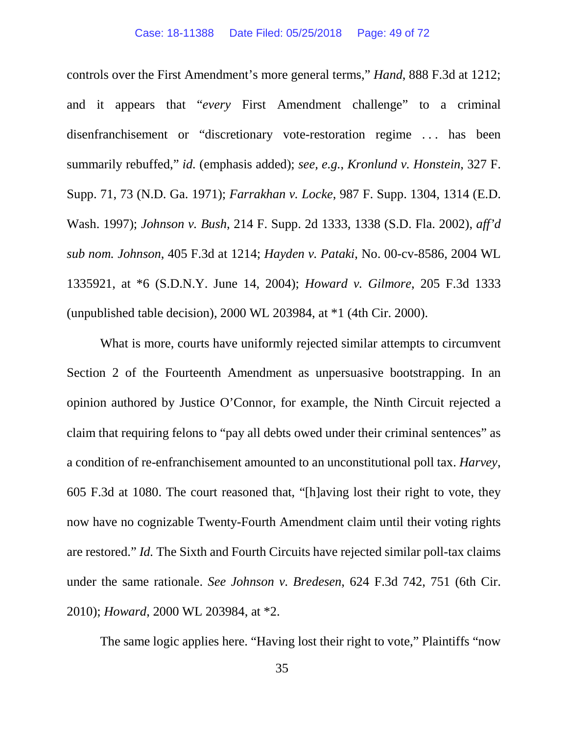controls over the First Amendment's more general terms," *Hand*, 888 F.3d at 1212; and it appears that "*every* First Amendment challenge" to a criminal disenfranchisement or "discretionary vote-restoration regime . . . has been summarily rebuffed," *id.* (emphasis added); *see, e.g.*, *Kronlund v. Honstein*, 327 F. Supp. 71, 73 (N.D. Ga. 1971); *Farrakhan v. Locke*, 987 F. Supp. 1304, 1314 (E.D. Wash. 1997); *Johnson v. Bush*, 214 F. Supp. 2d 1333, 1338 (S.D. Fla. 2002), *aff'd sub nom. Johnson*, 405 F.3d at 1214; *Hayden v. Pataki*, No. 00-cv-8586, 2004 WL 1335921, at \*6 (S.D.N.Y. June 14, 2004); *Howard v. Gilmore*, 205 F.3d 1333 (unpublished table decision), 2000 WL 203984, at \*1 (4th Cir. 2000).

What is more, courts have uniformly rejected similar attempts to circumvent Section 2 of the Fourteenth Amendment as unpersuasive bootstrapping. In an opinion authored by Justice O'Connor, for example, the Ninth Circuit rejected a claim that requiring felons to "pay all debts owed under their criminal sentences" as a condition of re-enfranchisement amounted to an unconstitutional poll tax. *Harvey*, 605 F.3d at 1080. The court reasoned that, "[h]aving lost their right to vote, they now have no cognizable Twenty-Fourth Amendment claim until their voting rights are restored." *Id.* The Sixth and Fourth Circuits have rejected similar poll-tax claims under the same rationale. *See Johnson v. Bredesen*, 624 F.3d 742, 751 (6th Cir. 2010); *Howard*, 2000 WL 203984, at \*2.

The same logic applies here. "Having lost their right to vote," Plaintiffs "now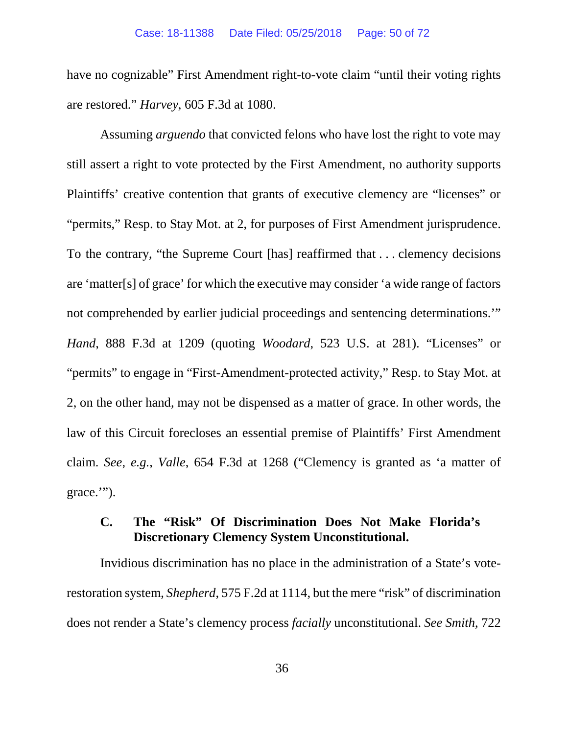have no cognizable" First Amendment right-to-vote claim "until their voting rights are restored." *Harvey*, 605 F.3d at 1080.

Assuming *arguendo* that convicted felons who have lost the right to vote may still assert a right to vote protected by the First Amendment, no authority supports Plaintiffs' creative contention that grants of executive clemency are "licenses" or "permits," Resp. to Stay Mot. at 2, for purposes of First Amendment jurisprudence. To the contrary, "the Supreme Court [has] reaffirmed that . . . clemency decisions are 'matter[s] of grace' for which the executive may consider 'a wide range of factors not comprehended by earlier judicial proceedings and sentencing determinations.'" *Hand*, 888 F.3d at 1209 (quoting *Woodard*, 523 U.S. at 281). "Licenses" or "permits" to engage in "First-Amendment-protected activity," Resp. to Stay Mot. at 2, on the other hand, may not be dispensed as a matter of grace. In other words, the law of this Circuit forecloses an essential premise of Plaintiffs' First Amendment claim. *See, e.g.*, *Valle*, 654 F.3d at 1268 ("Clemency is granted as 'a matter of grace.'").

#### **C. The "Risk" Of Discrimination Does Not Make Florida's Discretionary Clemency System Unconstitutional.**

Invidious discrimination has no place in the administration of a State's voterestoration system, *Shepherd*, 575 F.2d at 1114, but the mere "risk" of discrimination does not render a State's clemency process *facially* unconstitutional. *See Smith*, 722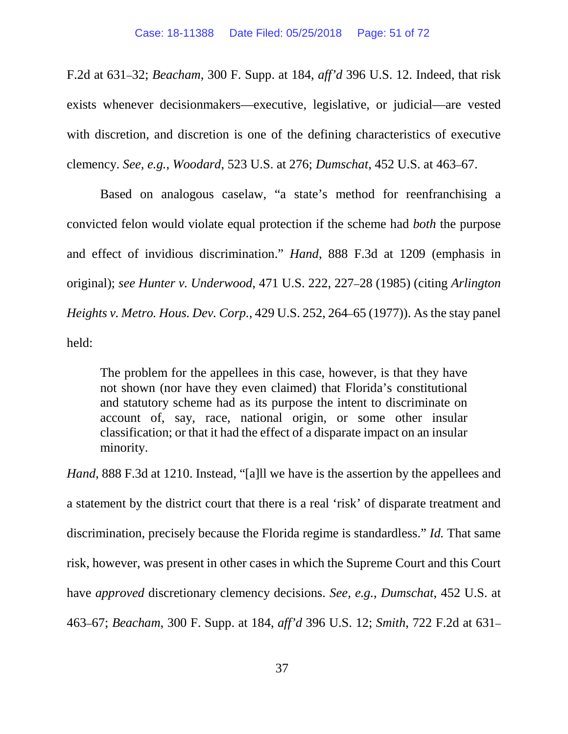F.2d at 631–32; *Beacham*, 300 F. Supp. at 184, *aff'd* 396 U.S. 12. Indeed, that risk exists whenever decisionmakers—executive, legislative, or judicial—are vested with discretion, and discretion is one of the defining characteristics of executive clemency. *See, e.g.*, *Woodard*, 523 U.S. at 276; *Dumschat*, 452 U.S. at 463–67.

Based on analogous caselaw, "a state's method for reenfranchising a convicted felon would violate equal protection if the scheme had *both* the purpose and effect of invidious discrimination." *Hand*, 888 F.3d at 1209 (emphasis in original); *see Hunter v. Underwood*, 471 U.S. 222, 227–28 (1985) (citing *Arlington Heights v. Metro. Hous. Dev. Corp.*, 429 U.S. 252, 264–65 (1977)). As the stay panel held:

The problem for the appellees in this case, however, is that they have not shown (nor have they even claimed) that Florida's constitutional and statutory scheme had as its purpose the intent to discriminate on account of, say, race, national origin, or some other insular classification; or that it had the effect of a disparate impact on an insular minority.

*Hand*, 888 F.3d at 1210. Instead, "[a]ll we have is the assertion by the appellees and a statement by the district court that there is a real 'risk' of disparate treatment and discrimination, precisely because the Florida regime is standardless." *Id.* That same risk, however, was present in other cases in which the Supreme Court and this Court have *approved* discretionary clemency decisions. *See, e.g.*, *Dumschat*, 452 U.S. at 463–67; *Beacham*, 300 F. Supp. at 184, *aff'd* 396 U.S. 12; *Smith*, 722 F.2d at 631–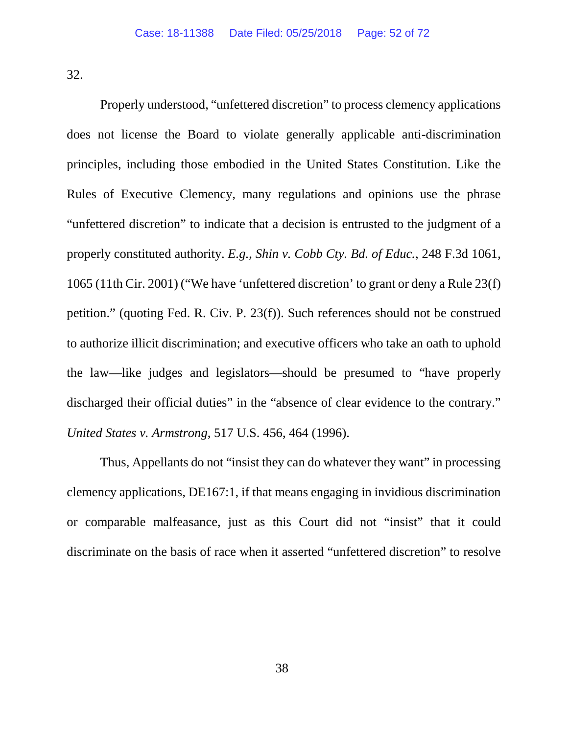32.

Properly understood, "unfettered discretion" to process clemency applications does not license the Board to violate generally applicable anti-discrimination principles, including those embodied in the United States Constitution. Like the Rules of Executive Clemency, many regulations and opinions use the phrase "unfettered discretion" to indicate that a decision is entrusted to the judgment of a properly constituted authority. *E.g.*, *Shin v. Cobb Cty. Bd. of Educ.*, 248 F.3d 1061, 1065 (11th Cir. 2001) ("We have 'unfettered discretion' to grant or deny a Rule 23(f) petition." (quoting Fed. R. Civ. P. 23(f)). Such references should not be construed to authorize illicit discrimination; and executive officers who take an oath to uphold the law—like judges and legislators—should be presumed to "have properly discharged their official duties" in the "absence of clear evidence to the contrary." *United States v. Armstrong*, 517 U.S. 456, 464 (1996).

Thus, Appellants do not "insist they can do whatever they want" in processing clemency applications, DE167:1, if that means engaging in invidious discrimination or comparable malfeasance, just as this Court did not "insist" that it could discriminate on the basis of race when it asserted "unfettered discretion" to resolve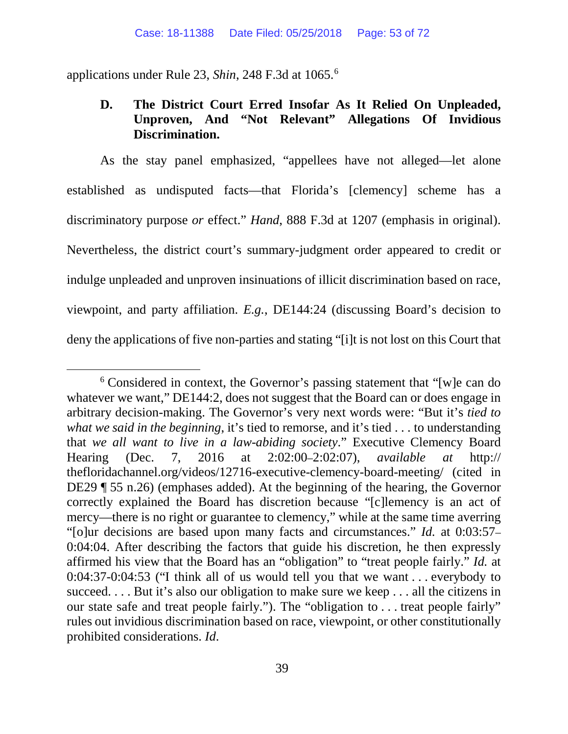applications under Rule 23, *Shin*, 248 F.3d at 1065. [6](#page-52-0)

### **D. The District Court Erred Insofar As It Relied On Unpleaded, Unproven, And "Not Relevant" Allegations Of Invidious Discrimination.**

As the stay panel emphasized, "appellees have not alleged—let alone established as undisputed facts—that Florida's [clemency] scheme has a discriminatory purpose *or* effect." *Hand*, 888 F.3d at 1207 (emphasis in original). Nevertheless, the district court's summary-judgment order appeared to credit or indulge unpleaded and unproven insinuations of illicit discrimination based on race, viewpoint, and party affiliation. *E.g.*, DE144:24 (discussing Board's decision to deny the applications of five non-parties and stating "[i]t is not lost on this Court that

<span id="page-52-0"></span> <sup>6</sup> Considered in context, the Governor's passing statement that "[w]e can do whatever we want," DE144:2, does not suggest that the Board can or does engage in arbitrary decision-making. The Governor's very next words were: "But it's *tied to what we said in the beginning*, it's tied to remorse, and it's tied . . . to understanding that *we all want to live in a law-abiding society*." Executive Clemency Board Hearing (Dec. 7, 2016 at 2:02:00–2:02:07), *available at* http:// thefloridachannel.org/videos/12716-executive-clemency-board-meeting/ (cited in DE29 ¶ 55 n.26) (emphases added). At the beginning of the hearing, the Governor correctly explained the Board has discretion because "[c]lemency is an act of mercy—there is no right or guarantee to clemency," while at the same time averring "[o]ur decisions are based upon many facts and circumstances." *Id.* at 0:03:57– 0:04:04. After describing the factors that guide his discretion, he then expressly affirmed his view that the Board has an "obligation" to "treat people fairly." *Id.* at 0:04:37-0:04:53 ("I think all of us would tell you that we want . . . everybody to succeed. . . . But it's also our obligation to make sure we keep . . . all the citizens in our state safe and treat people fairly."). The "obligation to . . . treat people fairly" rules out invidious discrimination based on race, viewpoint, or other constitutionally prohibited considerations. *Id*.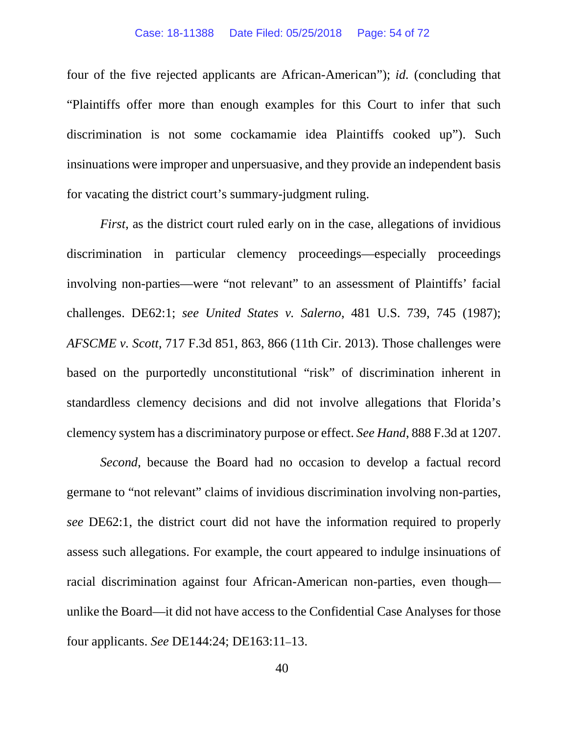four of the five rejected applicants are African-American"); *id.* (concluding that "Plaintiffs offer more than enough examples for this Court to infer that such discrimination is not some cockamamie idea Plaintiffs cooked up"). Such insinuations were improper and unpersuasive, and they provide an independent basis for vacating the district court's summary-judgment ruling.

*First*, as the district court ruled early on in the case, allegations of invidious discrimination in particular clemency proceedings—especially proceedings involving non-parties—were "not relevant" to an assessment of Plaintiffs' facial challenges. DE62:1; *see United States v. Salerno*, 481 U.S. 739, 745 (1987); *AFSCME v. Scott*, 717 F.3d 851, 863, 866 (11th Cir. 2013). Those challenges were based on the purportedly unconstitutional "risk" of discrimination inherent in standardless clemency decisions and did not involve allegations that Florida's clemency system has a discriminatory purpose or effect. *See Hand*, 888 F.3d at 1207.

*Second*, because the Board had no occasion to develop a factual record germane to "not relevant" claims of invidious discrimination involving non-parties, *see* DE62:1, the district court did not have the information required to properly assess such allegations. For example, the court appeared to indulge insinuations of racial discrimination against four African-American non-parties, even though unlike the Board—it did not have access to the Confidential Case Analyses for those four applicants. *See* DE144:24; DE163:11–13.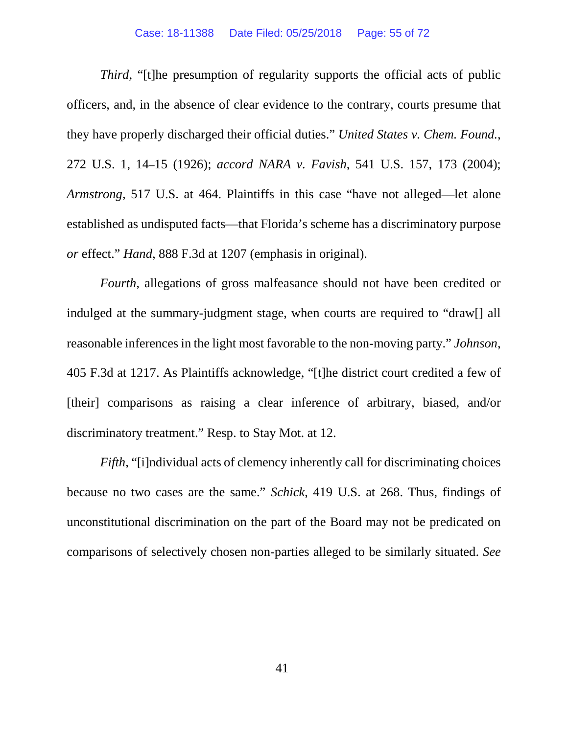#### Case: 18-11388 Date Filed: 05/25/2018 Page: 55 of 72

*Third*, "[t]he presumption of regularity supports the official acts of public officers, and, in the absence of clear evidence to the contrary, courts presume that they have properly discharged their official duties." *United States v. Chem. Found.*, 272 U.S. 1, 14–15 (1926); *accord NARA v. Favish*, 541 U.S. 157, 173 (2004); *Armstrong*, 517 U.S. at 464. Plaintiffs in this case "have not alleged—let alone established as undisputed facts—that Florida's scheme has a discriminatory purpose *or* effect." *Hand*, 888 F.3d at 1207 (emphasis in original).

*Fourth*, allegations of gross malfeasance should not have been credited or indulged at the summary-judgment stage, when courts are required to "draw[] all reasonable inferences in the light most favorable to the non-moving party." *Johnson*, 405 F.3d at 1217. As Plaintiffs acknowledge, "[t]he district court credited a few of [their] comparisons as raising a clear inference of arbitrary, biased, and/or discriminatory treatment." Resp. to Stay Mot. at 12.

*Fifth*, "[i]ndividual acts of clemency inherently call for discriminating choices because no two cases are the same." *Schick*, 419 U.S. at 268. Thus, findings of unconstitutional discrimination on the part of the Board may not be predicated on comparisons of selectively chosen non-parties alleged to be similarly situated. *See*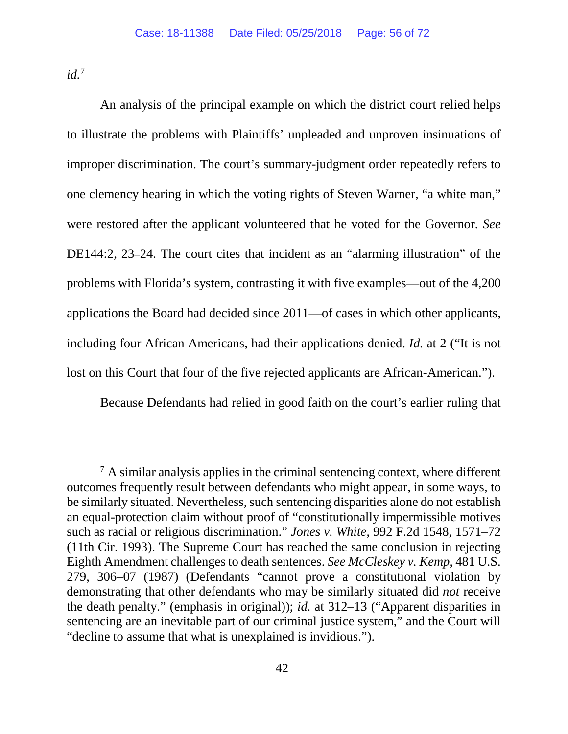*id.*[7](#page-55-0)

An analysis of the principal example on which the district court relied helps to illustrate the problems with Plaintiffs' unpleaded and unproven insinuations of improper discrimination. The court's summary-judgment order repeatedly refers to one clemency hearing in which the voting rights of Steven Warner, "a white man," were restored after the applicant volunteered that he voted for the Governor. *See*  DE144:2, 23–24. The court cites that incident as an "alarming illustration" of the problems with Florida's system, contrasting it with five examples—out of the 4,200 applications the Board had decided since 2011—of cases in which other applicants, including four African Americans, had their applications denied. *Id.* at 2 ("It is not lost on this Court that four of the five rejected applicants are African-American.").

Because Defendants had relied in good faith on the court's earlier ruling that

<span id="page-55-0"></span> $<sup>7</sup>$  A similar analysis applies in the criminal sentencing context, where different</sup> outcomes frequently result between defendants who might appear, in some ways, to be similarly situated. Nevertheless, such sentencing disparities alone do not establish an equal-protection claim without proof of "constitutionally impermissible motives such as racial or religious discrimination." *Jones v. White*, 992 F.2d 1548, 1571–72 (11th Cir. 1993). The Supreme Court has reached the same conclusion in rejecting Eighth Amendment challenges to death sentences. *See McCleskey v. Kemp*, 481 U.S. 279, 306–07 (1987) (Defendants "cannot prove a constitutional violation by demonstrating that other defendants who may be similarly situated did *not* receive the death penalty." (emphasis in original)); *id.* at 312–13 ("Apparent disparities in sentencing are an inevitable part of our criminal justice system," and the Court will "decline to assume that what is unexplained is invidious.").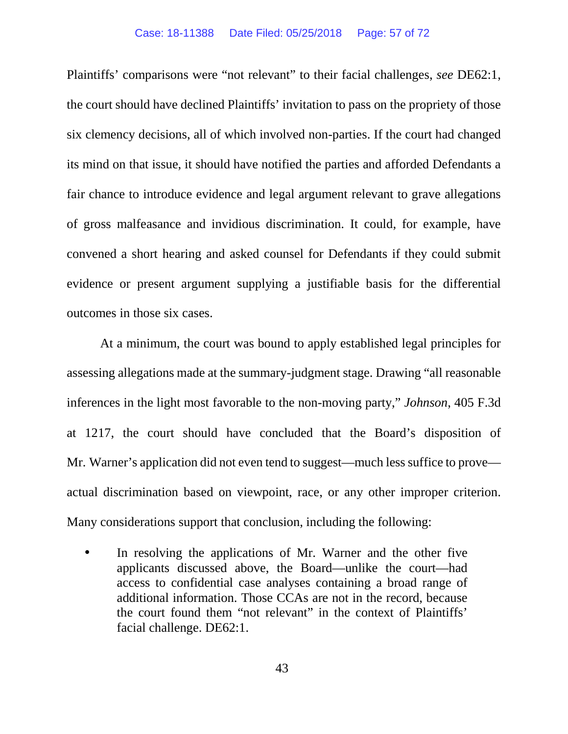Plaintiffs' comparisons were "not relevant" to their facial challenges, *see* DE62:1, the court should have declined Plaintiffs' invitation to pass on the propriety of those six clemency decisions, all of which involved non-parties. If the court had changed its mind on that issue, it should have notified the parties and afforded Defendants a fair chance to introduce evidence and legal argument relevant to grave allegations of gross malfeasance and invidious discrimination. It could, for example, have convened a short hearing and asked counsel for Defendants if they could submit evidence or present argument supplying a justifiable basis for the differential outcomes in those six cases.

At a minimum, the court was bound to apply established legal principles for assessing allegations made at the summary-judgment stage. Drawing "all reasonable inferences in the light most favorable to the non-moving party," *Johnson*, 405 F.3d at 1217, the court should have concluded that the Board's disposition of Mr. Warner's application did not even tend to suggest—much less suffice to prove actual discrimination based on viewpoint, race, or any other improper criterion. Many considerations support that conclusion, including the following:

 $\mathbf{r}$ 

In resolving the applications of Mr. Warner and the other five applicants discussed above, the Board—unlike the court—had access to confidential case analyses containing a broad range of additional information. Those CCAs are not in the record, because the court found them "not relevant" in the context of Plaintiffs' facial challenge. DE62:1.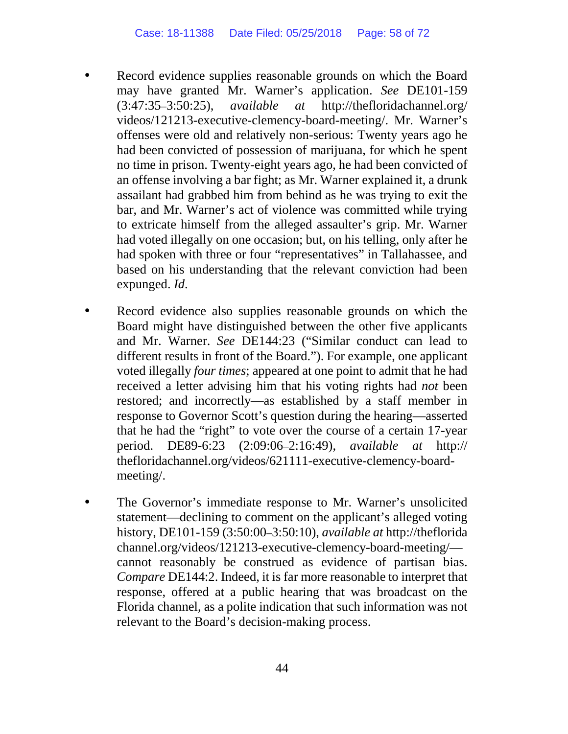Record evidence supplies reasonable grounds on which the Board may have granted Mr. Warner's application. *See* DE101-159 (3:47:35–3:50:25), *available at* http://thefloridachannel.org/ videos/121213-executive-clemency-board-meeting/. Mr. Warner's offenses were old and relatively non-serious: Twenty years ago he had been convicted of possession of marijuana, for which he spent no time in prison. Twenty-eight years ago, he had been convicted of an offense involving a bar fight; as Mr. Warner explained it, a drunk assailant had grabbed him from behind as he was trying to exit the bar, and Mr. Warner's act of violence was committed while trying to extricate himself from the alleged assaulter's grip. Mr. Warner had voted illegally on one occasion; but, on his telling, only after he had spoken with three or four "representatives" in Tallahassee, and based on his understanding that the relevant conviction had been expunged. *Id*.

Record evidence also supplies reasonable grounds on which the Board might have distinguished between the other five applicants and Mr. Warner. *See* DE144:23 ("Similar conduct can lead to different results in front of the Board."). For example, one applicant voted illegally *four times*; appeared at one point to admit that he had received a letter advising him that his voting rights had *not* been restored; and incorrectly—as established by a staff member in response to Governor Scott's question during the hearing—asserted that he had the "right" to vote over the course of a certain 17-year period. DE89-6:23 (2:09:06–2:16:49), *available at* http:// thefloridachannel.org/videos/621111-executive-clemency-boardmeeting/.

The Governor's immediate response to Mr. Warner's unsolicited statement—declining to comment on the applicant's alleged voting history, DE101-159 (3:50:00–3:50:10), *available at* http://theflorida channel.org/videos/121213-executive-clemency-board-meeting/ cannot reasonably be construed as evidence of partisan bias. *Compare* DE144:2. Indeed, it is far more reasonable to interpret that response, offered at a public hearing that was broadcast on the Florida channel, as a polite indication that such information was not relevant to the Board's decision-making process.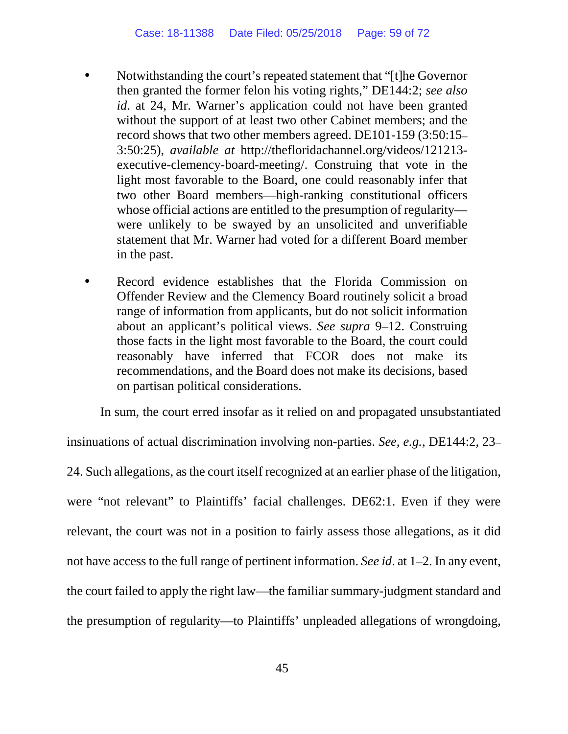Notwithstanding the court's repeated statement that "[t]he Governor then granted the former felon his voting rights," DE144:2; *see also id*. at 24, Mr. Warner's application could not have been granted without the support of at least two other Cabinet members; and the record shows that two other members agreed. DE101-159 (3:50:15– 3:50:25), *available at* http://thefloridachannel.org/videos/121213 executive-clemency-board-meeting/. Construing that vote in the light most favorable to the Board, one could reasonably infer that two other Board members—high-ranking constitutional officers whose official actions are entitled to the presumption of regularity were unlikely to be swayed by an unsolicited and unverifiable statement that Mr. Warner had voted for a different Board member in the past.

Record evidence establishes that the Florida Commission on Offender Review and the Clemency Board routinely solicit a broad range of information from applicants, but do not solicit information about an applicant's political views. *See supra* 9–12. Construing those facts in the light most favorable to the Board, the court could reasonably have inferred that FCOR does not make its recommendations, and the Board does not make its decisions, based on partisan political considerations.

In sum, the court erred insofar as it relied on and propagated unsubstantiated insinuations of actual discrimination involving non-parties. *See, e.g.*, DE144:2, 23– 24. Such allegations, as the court itself recognized at an earlier phase of the litigation, were "not relevant" to Plaintiffs' facial challenges. DE62:1. Even if they were relevant, the court was not in a position to fairly assess those allegations, as it did not have access to the full range of pertinent information. *See id*. at 1–2. In any event, the court failed to apply the right law—the familiar summary-judgment standard and the presumption of regularity—to Plaintiffs' unpleaded allegations of wrongdoing,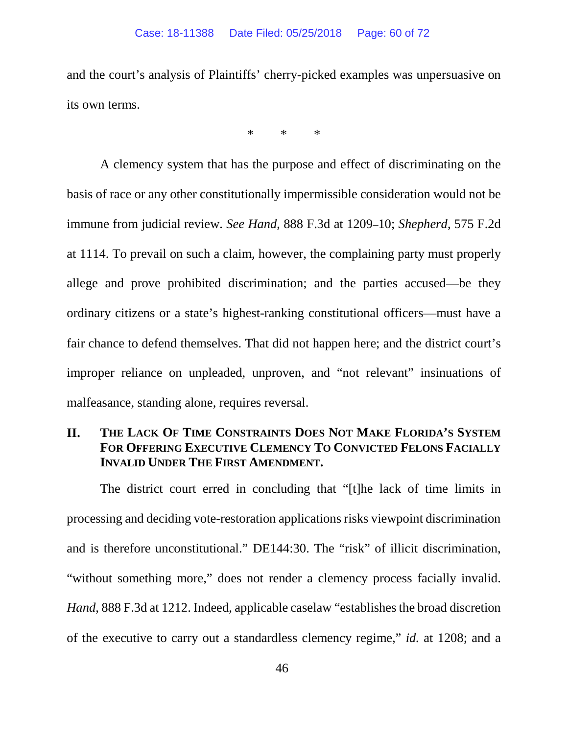and the court's analysis of Plaintiffs' cherry-picked examples was unpersuasive on its own terms.

\* \* \*

A clemency system that has the purpose and effect of discriminating on the basis of race or any other constitutionally impermissible consideration would not be immune from judicial review. *See Hand*, 888 F.3d at 1209–10; *Shepherd*, 575 F.2d at 1114. To prevail on such a claim, however, the complaining party must properly allege and prove prohibited discrimination; and the parties accused—be they ordinary citizens or a state's highest-ranking constitutional officers—must have a fair chance to defend themselves. That did not happen here; and the district court's improper reliance on unpleaded, unproven, and "not relevant" insinuations of malfeasance, standing alone, requires reversal.

## **II. THE LACK OF TIME CONSTRAINTS DOES NOT MAKE FLORIDA'S SYSTEM FOR OFFERING EXECUTIVE CLEMENCY TO CONVICTED FELONS FACIALLY INVALID UNDER THE FIRST AMENDMENT.**

The district court erred in concluding that "[t]he lack of time limits in processing and deciding vote-restoration applications risks viewpoint discrimination and is therefore unconstitutional." DE144:30. The "risk" of illicit discrimination, "without something more," does not render a clemency process facially invalid. *Hand*, 888 F.3d at 1212. Indeed, applicable caselaw "establishes the broad discretion of the executive to carry out a standardless clemency regime," *id.* at 1208; and a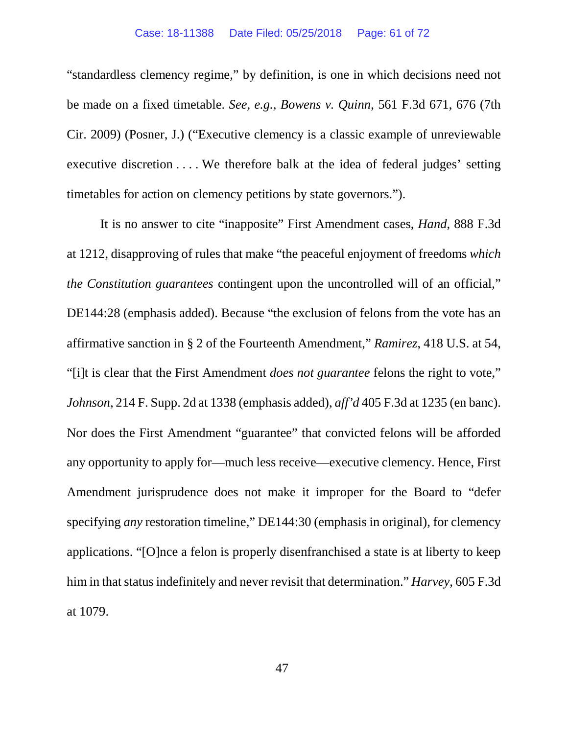"standardless clemency regime," by definition, is one in which decisions need not be made on a fixed timetable. *See, e.g.*, *Bowens v. Quinn*, 561 F.3d 671, 676 (7th Cir. 2009) (Posner, J.) ("Executive clemency is a classic example of unreviewable executive discretion . . . . We therefore balk at the idea of federal judges' setting timetables for action on clemency petitions by state governors.").

It is no answer to cite "inapposite" First Amendment cases, *Hand*, 888 F.3d at 1212, disapproving of rules that make "the peaceful enjoyment of freedoms *which the Constitution guarantees* contingent upon the uncontrolled will of an official," DE144:28 (emphasis added). Because "the exclusion of felons from the vote has an affirmative sanction in § 2 of the Fourteenth Amendment," *Ramirez*, 418 U.S. at 54, "[i]t is clear that the First Amendment *does not guarantee* felons the right to vote," *Johnson*, 214 F. Supp. 2d at 1338 (emphasis added), *aff'd* 405 F.3d at 1235 (en banc). Nor does the First Amendment "guarantee" that convicted felons will be afforded any opportunity to apply for—much less receive—executive clemency. Hence, First Amendment jurisprudence does not make it improper for the Board to "defer specifying *any* restoration timeline," DE144:30 (emphasis in original), for clemency applications. "[O]nce a felon is properly disenfranchised a state is at liberty to keep him in that status indefinitely and never revisit that determination." *Harvey*, 605 F.3d at 1079.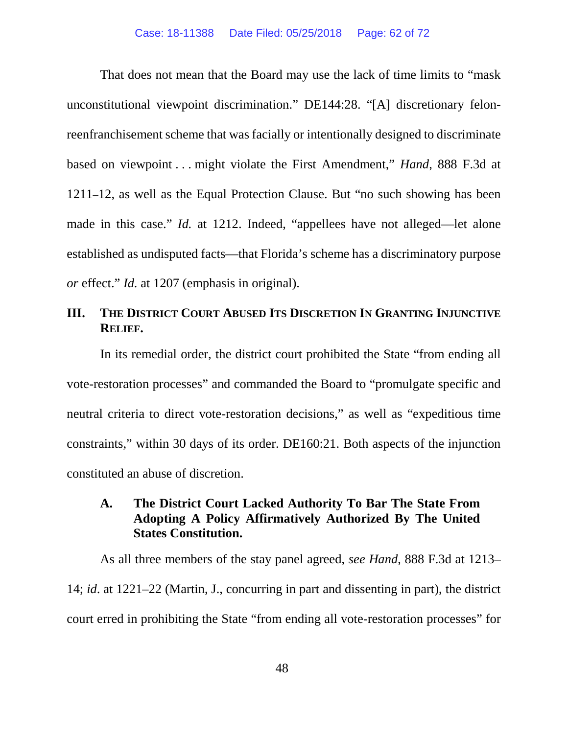That does not mean that the Board may use the lack of time limits to "mask unconstitutional viewpoint discrimination." DE144:28. "[A] discretionary felonreenfranchisement scheme that was facially or intentionally designed to discriminate based on viewpoint . . . might violate the First Amendment," *Hand*, 888 F.3d at 1211–12, as well as the Equal Protection Clause. But "no such showing has been made in this case." *Id.* at 1212. Indeed, "appellees have not alleged—let alone established as undisputed facts—that Florida's scheme has a discriminatory purpose *or* effect." *Id.* at 1207 (emphasis in original).

#### **III. THE DISTRICT COURT ABUSED ITS DISCRETION IN GRANTING INJUNCTIVE RELIEF.**

In its remedial order, the district court prohibited the State "from ending all vote-restoration processes" and commanded the Board to "promulgate specific and neutral criteria to direct vote-restoration decisions," as well as "expeditious time constraints," within 30 days of its order. DE160:21. Both aspects of the injunction constituted an abuse of discretion.

#### **A. The District Court Lacked Authority To Bar The State From Adopting A Policy Affirmatively Authorized By The United States Constitution.**

As all three members of the stay panel agreed, *see Hand*, 888 F.3d at 1213– 14; *id*. at 1221–22 (Martin, J., concurring in part and dissenting in part), the district court erred in prohibiting the State "from ending all vote-restoration processes" for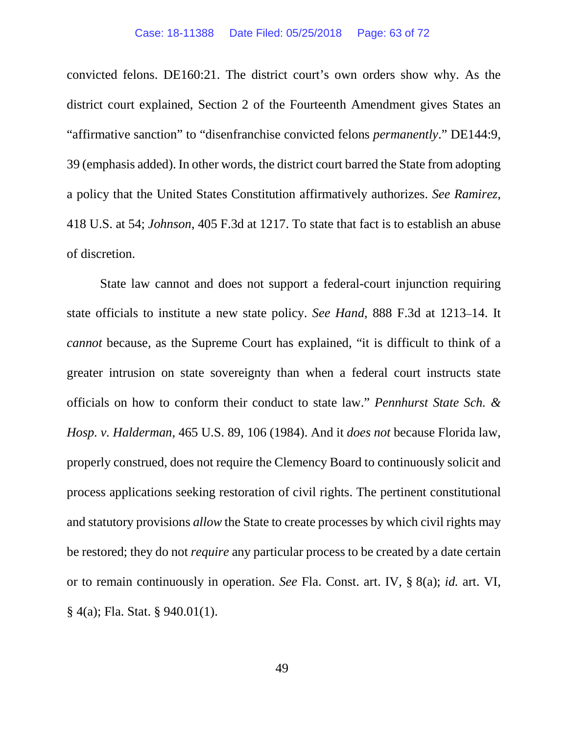convicted felons. DE160:21. The district court's own orders show why. As the district court explained, Section 2 of the Fourteenth Amendment gives States an "affirmative sanction" to "disenfranchise convicted felons *permanently*." DE144:9, 39 (emphasis added). In other words, the district court barred the State from adopting a policy that the United States Constitution affirmatively authorizes. *See Ramirez*, 418 U.S. at 54; *Johnson*, 405 F.3d at 1217. To state that fact is to establish an abuse of discretion.

State law cannot and does not support a federal-court injunction requiring state officials to institute a new state policy. *See Hand*, 888 F.3d at 1213–14. It *cannot* because, as the Supreme Court has explained, "it is difficult to think of a greater intrusion on state sovereignty than when a federal court instructs state officials on how to conform their conduct to state law." *Pennhurst State Sch. & Hosp. v. Halderman*, 465 U.S. 89, 106 (1984). And it *does not* because Florida law, properly construed, does not require the Clemency Board to continuously solicit and process applications seeking restoration of civil rights. The pertinent constitutional and statutory provisions *allow* the State to create processes by which civil rights may be restored; they do not *require* any particular process to be created by a date certain or to remain continuously in operation. *See* Fla. Const. art. IV, § 8(a); *id.* art. VI, § 4(a); Fla. Stat. § 940.01(1).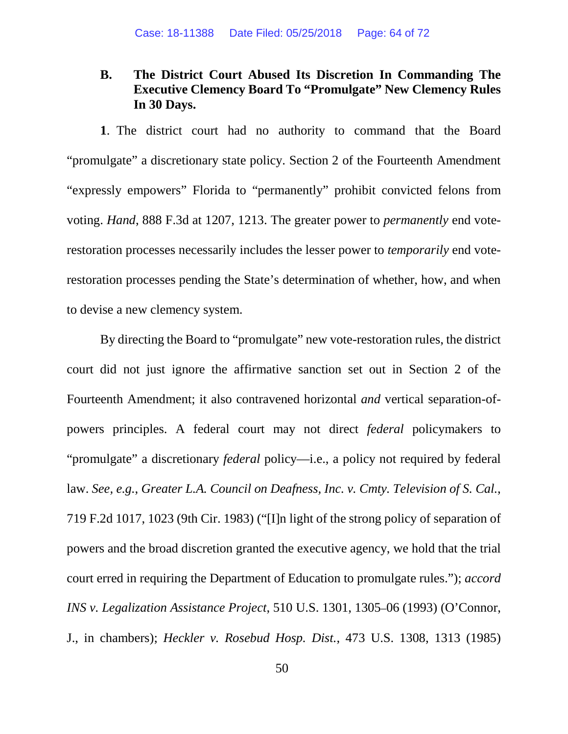## **B. The District Court Abused Its Discretion In Commanding The Executive Clemency Board To "Promulgate" New Clemency Rules In 30 Days.**

**1**. The district court had no authority to command that the Board "promulgate" a discretionary state policy. Section 2 of the Fourteenth Amendment "expressly empowers" Florida to "permanently" prohibit convicted felons from voting. *Hand*, 888 F.3d at 1207, 1213. The greater power to *permanently* end voterestoration processes necessarily includes the lesser power to *temporarily* end voterestoration processes pending the State's determination of whether, how, and when to devise a new clemency system.

By directing the Board to "promulgate" new vote-restoration rules, the district court did not just ignore the affirmative sanction set out in Section 2 of the Fourteenth Amendment; it also contravened horizontal *and* vertical separation-ofpowers principles. A federal court may not direct *federal* policymakers to "promulgate" a discretionary *federal* policy—i.e., a policy not required by federal law. *See, e.g.*, *Greater L.A. Council on Deafness, Inc. v. Cmty. Television of S. Cal.*, 719 F.2d 1017, 1023 (9th Cir. 1983) ("[I]n light of the strong policy of separation of powers and the broad discretion granted the executive agency, we hold that the trial court erred in requiring the Department of Education to promulgate rules."); *accord INS v. Legalization Assistance Project*, 510 U.S. 1301, 1305–06 (1993) (O'Connor, J., in chambers); *Heckler v. Rosebud Hosp. Dist.*, 473 U.S. 1308, 1313 (1985)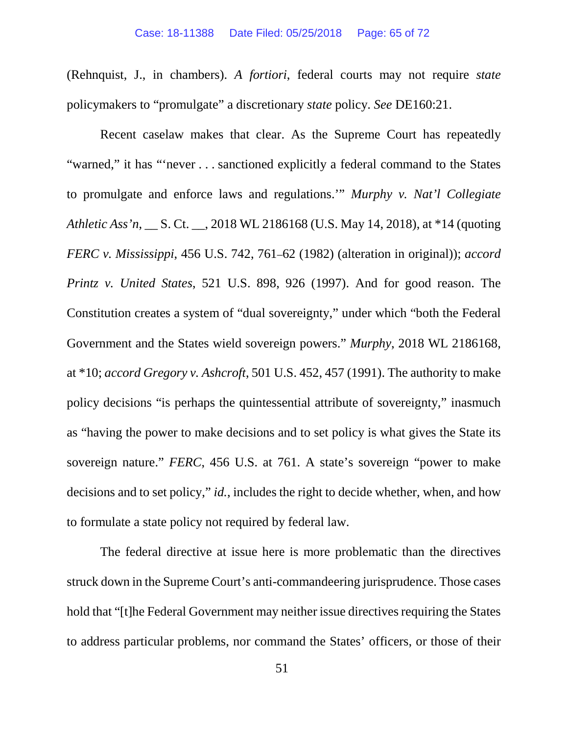(Rehnquist, J., in chambers). *A fortiori*, federal courts may not require *state* policymakers to "promulgate" a discretionary *state* policy. *See* DE160:21.

Recent caselaw makes that clear. As the Supreme Court has repeatedly "warned," it has "'never . . . sanctioned explicitly a federal command to the States to promulgate and enforce laws and regulations.'" *Murphy v. Nat'l Collegiate Athletic Ass'n*, \_\_ S. Ct. \_\_, 2018 WL 2186168 (U.S. May 14, 2018), at \*14 (quoting *FERC v. Mississippi*, 456 U.S. 742, 761–62 (1982) (alteration in original)); *accord Printz v. United States*, 521 U.S. 898, 926 (1997). And for good reason. The Constitution creates a system of "dual sovereignty," under which "both the Federal Government and the States wield sovereign powers." *Murphy*, 2018 WL 2186168, at \*10; *accord Gregory v. Ashcroft*, 501 U.S. 452, 457 (1991). The authority to make policy decisions "is perhaps the quintessential attribute of sovereignty," inasmuch as "having the power to make decisions and to set policy is what gives the State its sovereign nature." *FERC*, 456 U.S. at 761. A state's sovereign "power to make decisions and to set policy," *id.*, includes the right to decide whether, when, and how to formulate a state policy not required by federal law.

The federal directive at issue here is more problematic than the directives struck down in the Supreme Court's anti-commandeering jurisprudence. Those cases hold that "[t]he Federal Government may neither issue directives requiring the States to address particular problems, nor command the States' officers, or those of their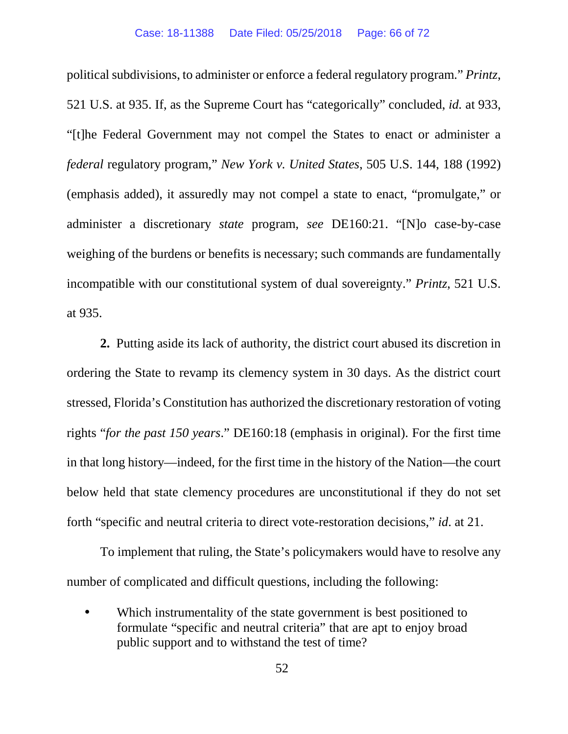political subdivisions, to administer or enforce a federal regulatory program." *Printz*, 521 U.S. at 935. If, as the Supreme Court has "categorically" concluded, *id.* at 933, "[t]he Federal Government may not compel the States to enact or administer a *federal* regulatory program," *New York v. United States*, 505 U.S. 144, 188 (1992) (emphasis added), it assuredly may not compel a state to enact, "promulgate," or administer a discretionary *state* program, *see* DE160:21. "[N]o case-by-case weighing of the burdens or benefits is necessary; such commands are fundamentally incompatible with our constitutional system of dual sovereignty." *Printz*, 521 U.S. at 935.

**2.** Putting aside its lack of authority, the district court abused its discretion in ordering the State to revamp its clemency system in 30 days. As the district court stressed, Florida's Constitution has authorized the discretionary restoration of voting rights "*for the past 150 years*." DE160:18 (emphasis in original). For the first time in that long history—indeed, for the first time in the history of the Nation—the court below held that state clemency procedures are unconstitutional if they do not set forth "specific and neutral criteria to direct vote-restoration decisions," *id*. at 21.

To implement that ruling, the State's policymakers would have to resolve any number of complicated and difficult questions, including the following:

Which instrumentality of the state government is best positioned to formulate "specific and neutral criteria" that are apt to enjoy broad public support and to withstand the test of time?

 $\blacksquare$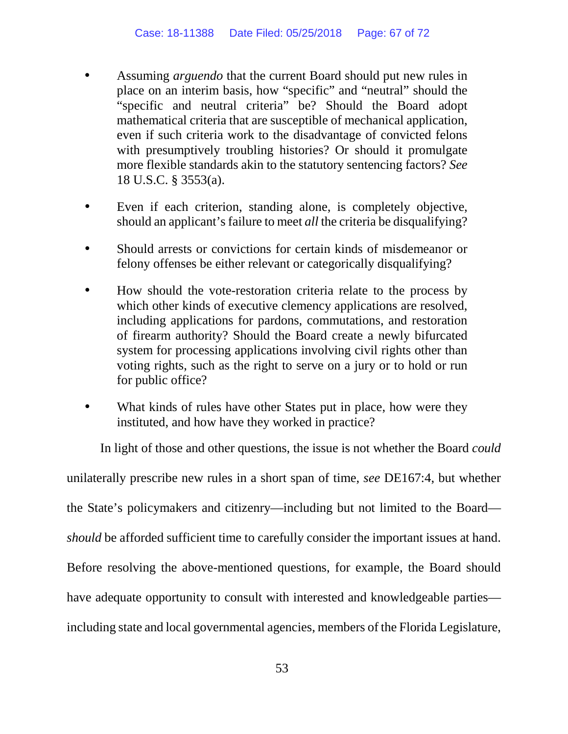- Assuming *arguendo* that the current Board should put new rules in place on an interim basis, how "specific" and "neutral" should the "specific and neutral criteria" be? Should the Board adopt mathematical criteria that are susceptible of mechanical application, even if such criteria work to the disadvantage of convicted felons with presumptively troubling histories? Or should it promulgate more flexible standards akin to the statutory sentencing factors? *See*  18 U.S.C. § 3553(a).
- Even if each criterion, standing alone, is completely objective, should an applicant's failure to meet *all* the criteria be disqualifying?
- Should arrests or convictions for certain kinds of misdemeanor or felony offenses be either relevant or categorically disqualifying?

ä,

à.

k,

- How should the vote-restoration criteria relate to the process by which other kinds of executive clemency applications are resolved, including applications for pardons, commutations, and restoration of firearm authority? Should the Board create a newly bifurcated system for processing applications involving civil rights other than voting rights, such as the right to serve on a jury or to hold or run for public office?
- What kinds of rules have other States put in place, how were they instituted, and how have they worked in practice?

In light of those and other questions, the issue is not whether the Board *could* unilaterally prescribe new rules in a short span of time, *see* DE167:4, but whether the State's policymakers and citizenry—including but not limited to the Board *should* be afforded sufficient time to carefully consider the important issues at hand. Before resolving the above-mentioned questions, for example, the Board should have adequate opportunity to consult with interested and knowledgeable parties including state and local governmental agencies, members of the Florida Legislature,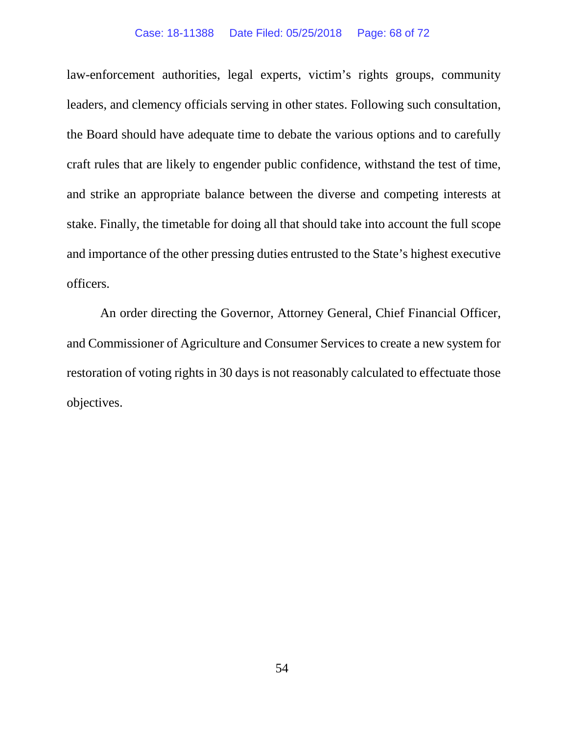#### Case: 18-11388 Date Filed: 05/25/2018 Page: 68 of 72

law-enforcement authorities, legal experts, victim's rights groups, community leaders, and clemency officials serving in other states. Following such consultation, the Board should have adequate time to debate the various options and to carefully craft rules that are likely to engender public confidence, withstand the test of time, and strike an appropriate balance between the diverse and competing interests at stake. Finally, the timetable for doing all that should take into account the full scope and importance of the other pressing duties entrusted to the State's highest executive officers.

An order directing the Governor, Attorney General, Chief Financial Officer, and Commissioner of Agriculture and Consumer Services to create a new system for restoration of voting rights in 30 days is not reasonably calculated to effectuate those objectives.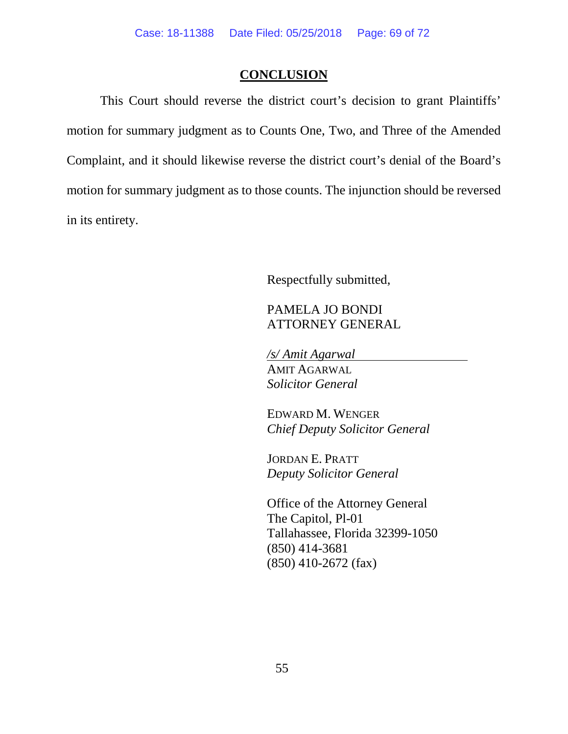#### **CONCLUSION**

This Court should reverse the district court's decision to grant Plaintiffs' motion for summary judgment as to Counts One, Two, and Three of the Amended Complaint, and it should likewise reverse the district court's denial of the Board's motion for summary judgment as to those counts. The injunction should be reversed in its entirety.

Respectfully submitted,

### PAMELA JO BONDI ATTORNEY GENERAL

*/s/ Amit Agarwal* AMIT AGARWAL *Solicitor General* 

EDWARD M. WENGER *Chief Deputy Solicitor General*

JORDAN E. PRATT *Deputy Solicitor General*

Office of the Attorney General The Capitol, Pl-01 Tallahassee, Florida 32399-1050 (850) 414-3681 (850) 410-2672 (fax)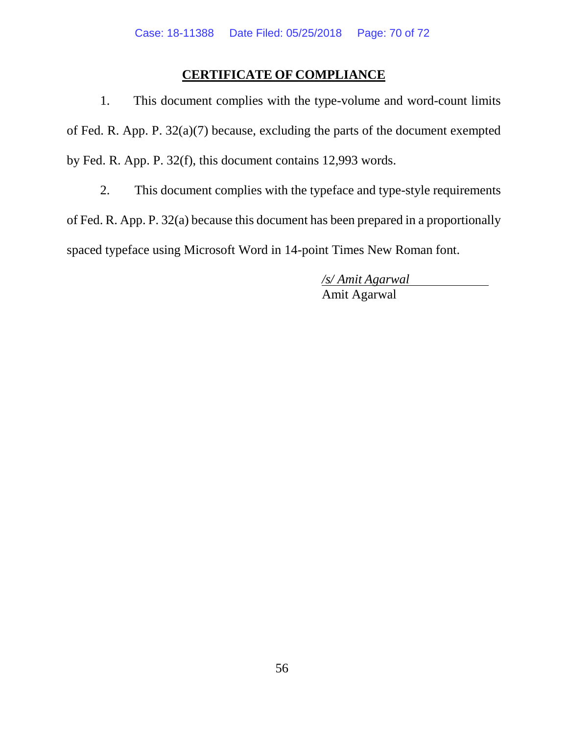## **CERTIFICATE OF COMPLIANCE**

1. This document complies with the type-volume and word-count limits of Fed. R. App. P. 32(a)(7) because, excluding the parts of the document exempted by Fed. R. App. P. 32(f), this document contains 12,993 words.

2. This document complies with the typeface and type-style requirements of Fed. R. App. P. 32(a) because this document has been prepared in a proportionally spaced typeface using Microsoft Word in 14-point Times New Roman font.

> */s/ Amit Agarwal* Amit Agarwal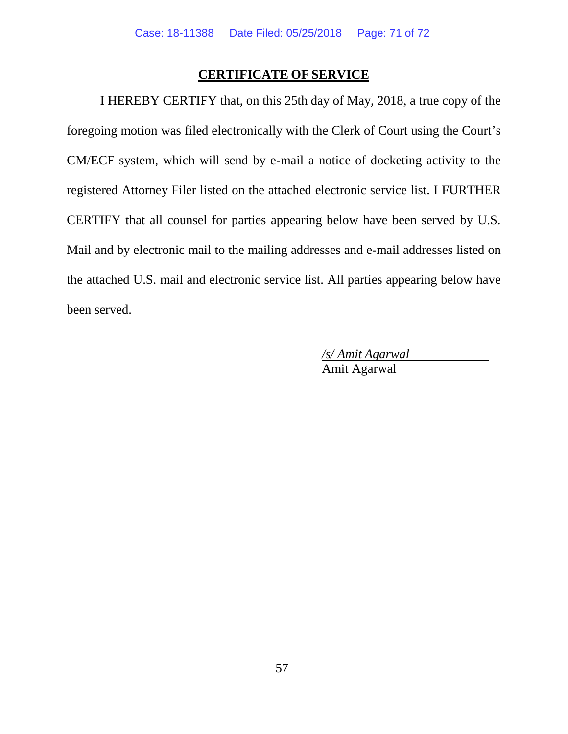#### **CERTIFICATE OF SERVICE**

I HEREBY CERTIFY that, on this 25th day of May, 2018, a true copy of the foregoing motion was filed electronically with the Clerk of Court using the Court's CM/ECF system, which will send by e-mail a notice of docketing activity to the registered Attorney Filer listed on the attached electronic service list. I FURTHER CERTIFY that all counsel for parties appearing below have been served by U.S. Mail and by electronic mail to the mailing addresses and e-mail addresses listed on the attached U.S. mail and electronic service list. All parties appearing below have been served.

> */s/ Amit Agarwal* Amit Agarwal